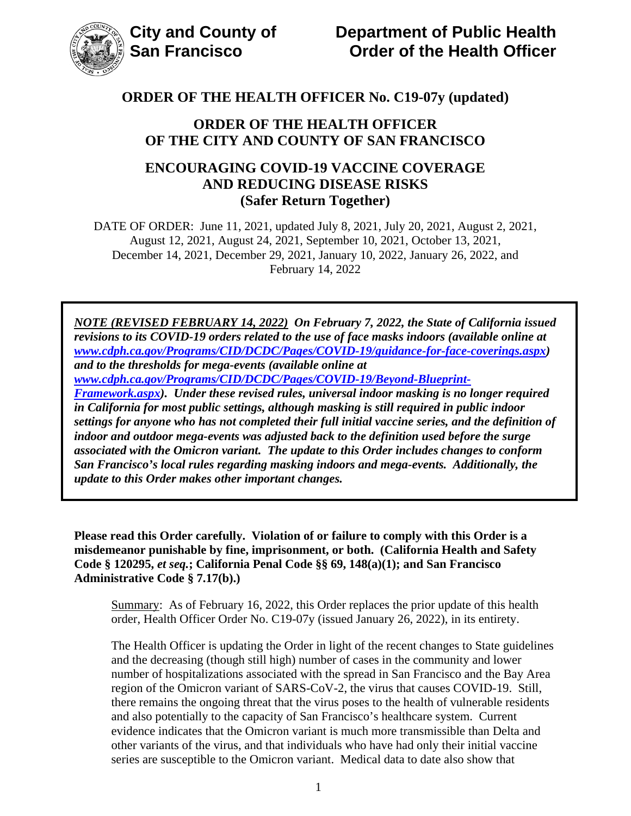

### **ORDER OF THE HEALTH OFFICER OF THE CITY AND COUNTY OF SAN FRANCISCO**

### **ENCOURAGING COVID-19 VACCINE COVERAGE AND REDUCING DISEASE RISKS (Safer Return Together)**

DATE OF ORDER: June 11, 2021, updated July 8, 2021, July 20, 2021, August 2, 2021, August 12, 2021, August 24, 2021, September 10, 2021, October 13, 2021, December 14, 2021, December 29, 2021, January 10, 2022, January 26, 2022, and February 14, 2022

*NOTE (REVISED FEBRUARY 14, 2022) On February 7, 2022, the State of California issued revisions to its COVID-19 orders related to the use of face masks indoors (available online at [www.cdph.ca.gov/Programs/CID/DCDC/Pages/COVID-19/guidance-for-face-coverings.aspx\)](https://www.cdph.ca.gov/Programs/CID/DCDC/Pages/COVID-19/guidance-for-face-coverings.aspx) and to the thresholds for mega-events (available online at [www.cdph.ca.gov/Programs/CID/DCDC/Pages/COVID-19/Beyond-Blueprint-](https://www.cdph.ca.gov/Programs/CID/DCDC/Pages/COVID-19/Beyond-Blueprint-Framework.aspx)[Framework.aspx\)](https://www.cdph.ca.gov/Programs/CID/DCDC/Pages/COVID-19/Beyond-Blueprint-Framework.aspx). Under these revised rules, universal indoor masking is no longer required in California for most public settings, although masking is still required in public indoor settings for anyone who has not completed their full initial vaccine series, and the definition of indoor and outdoor mega-events was adjusted back to the definition used before the surge associated with the Omicron variant. The update to this Order includes changes to conform San Francisco's local rules regarding masking indoors and mega-events. Additionally, the update to this Order makes other important changes.*

**Please read this Order carefully. Violation of or failure to comply with this Order is a misdemeanor punishable by fine, imprisonment, or both. (California Health and Safety Code § 120295,** *et seq.***; California Penal Code §§ 69, 148(a)(1); and San Francisco Administrative Code § 7.17(b).)**

Summary: As of February 16, 2022, this Order replaces the prior update of this health order, Health Officer Order No. C19-07y (issued January 26, 2022), in its entirety.

The Health Officer is updating the Order in light of the recent changes to State guidelines and the decreasing (though still high) number of cases in the community and lower number of hospitalizations associated with the spread in San Francisco and the Bay Area region of the Omicron variant of SARS-CoV-2, the virus that causes COVID-19. Still, there remains the ongoing threat that the virus poses to the health of vulnerable residents and also potentially to the capacity of San Francisco's healthcare system. Current evidence indicates that the Omicron variant is much more transmissible than Delta and other variants of the virus, and that individuals who have had only their initial vaccine series are susceptible to the Omicron variant. Medical data to date also show that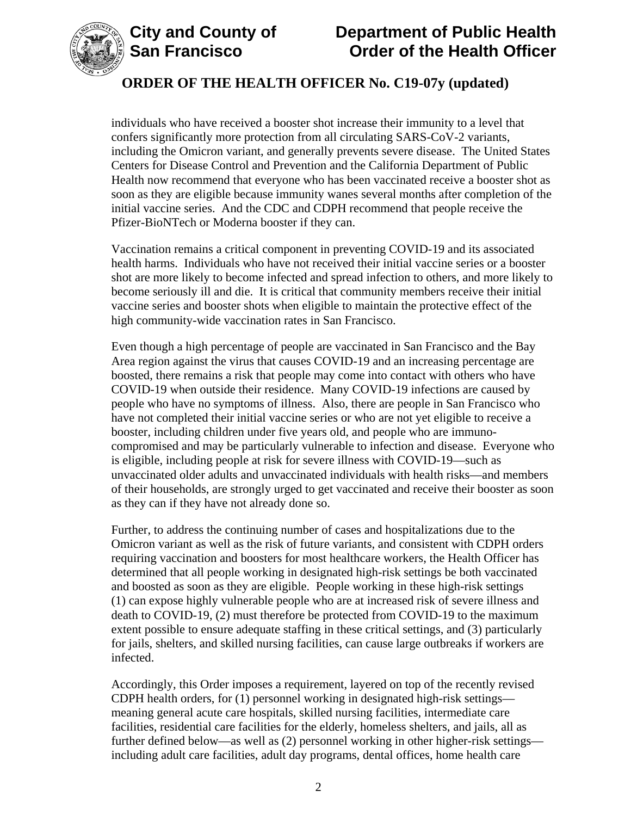



individuals who have received a booster shot increase their immunity to a level that confers significantly more protection from all circulating SARS-CoV-2 variants, including the Omicron variant, and generally prevents severe disease. The United States Centers for Disease Control and Prevention and the California Department of Public Health now recommend that everyone who has been vaccinated receive a booster shot as soon as they are eligible because immunity wanes several months after completion of the initial vaccine series. And the CDC and CDPH recommend that people receive the Pfizer-BioNTech or Moderna booster if they can.

Vaccination remains a critical component in preventing COVID-19 and its associated health harms. Individuals who have not received their initial vaccine series or a booster shot are more likely to become infected and spread infection to others, and more likely to become seriously ill and die. It is critical that community members receive their initial vaccine series and booster shots when eligible to maintain the protective effect of the high community-wide vaccination rates in San Francisco.

Even though a high percentage of people are vaccinated in San Francisco and the Bay Area region against the virus that causes COVID-19 and an increasing percentage are boosted, there remains a risk that people may come into contact with others who have COVID-19 when outside their residence. Many COVID-19 infections are caused by people who have no symptoms of illness. Also, there are people in San Francisco who have not completed their initial vaccine series or who are not yet eligible to receive a booster, including children under five years old, and people who are immunocompromised and may be particularly vulnerable to infection and disease. Everyone who is eligible, including people at risk for severe illness with COVID-19—such as unvaccinated older adults and unvaccinated individuals with health risks—and members of their households, are strongly urged to get vaccinated and receive their booster as soon as they can if they have not already done so.

Further, to address the continuing number of cases and hospitalizations due to the Omicron variant as well as the risk of future variants, and consistent with CDPH orders requiring vaccination and boosters for most healthcare workers, the Health Officer has determined that all people working in designated high-risk settings be both vaccinated and boosted as soon as they are eligible. People working in these high-risk settings (1) can expose highly vulnerable people who are at increased risk of severe illness and death to COVID-19, (2) must therefore be protected from COVID-19 to the maximum extent possible to ensure adequate staffing in these critical settings, and (3) particularly for jails, shelters, and skilled nursing facilities, can cause large outbreaks if workers are infected.

Accordingly, this Order imposes a requirement, layered on top of the recently revised CDPH health orders, for (1) personnel working in designated high-risk settings meaning general acute care hospitals, skilled nursing facilities, intermediate care facilities, residential care facilities for the elderly, homeless shelters, and jails, all as further defined below—as well as (2) personnel working in other higher-risk settings including adult care facilities, adult day programs, dental offices, home health care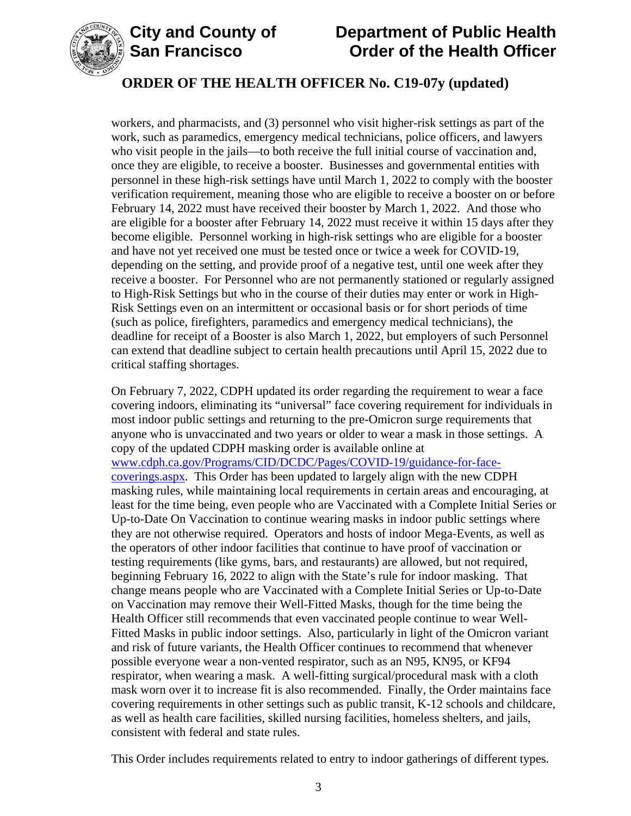



workers, and pharmacists, and (3) personnel who visit higher-risk settings as part of the work, such as paramedics, emergency medical technicians, police officers, and lawyers who visit people in the jails—to both receive the full initial course of vaccination and, once they are eligible, to receive a booster. Businesses and governmental entities with personnel in these high-risk settings have until March 1, 2022 to comply with the booster verification requirement, meaning those who are eligible to receive a booster on or before February 14, 2022 must have received their booster by March 1, 2022. And those who are eligible for a booster after February 14, 2022 must receive it within 15 days after they become eligible. Personnel working in high-risk settings who are eligible for a booster and have not yet received one must be tested once or twice a week for COVID-19, depending on the setting, and provide proof of a negative test, until one week after they receive a booster. For Personnel who are not permanently stationed or regularly assigned to High-Risk Settings but who in the course of their duties may enter or work in High-Risk Settings even on an intermittent or occasional basis or for short periods of time (such as police, firefighters, paramedics and emergency medical technicians), the deadline for receipt of a Booster is also March 1, 2022, but employers of such Personnel can extend that deadline subject to certain health precautions until April 15, 2022 due to critical staffing shortages.

On February 7, 2022, CDPH updated its order regarding the requirement to wear a face covering indoors, eliminating its "universal" face covering requirement for individuals in most indoor public settings and returning to the pre-Omicron surge requirements that anyone who is unvaccinated and two years or older to wear a mask in those settings. A copy of the updated CDPH masking order is available online at [www.cdph.ca.gov/Programs/CID/DCDC/Pages/COVID-19/guidance-for-face](https://www.cdph.ca.gov/Programs/CID/DCDC/Pages/COVID-19/guidance-for-face-coverings.aspx)[coverings.aspx.](https://www.cdph.ca.gov/Programs/CID/DCDC/Pages/COVID-19/guidance-for-face-coverings.aspx) This Order has been updated to largely align with the new CDPH masking rules, while maintaining local requirements in certain areas and encouraging, at least for the time being, even people who are Vaccinated with a Complete Initial Series or Up-to-Date On Vaccination to continue wearing masks in indoor public settings where they are not otherwise required. Operators and hosts of indoor Mega-Events, as well as the operators of other indoor facilities that continue to have proof of vaccination or testing requirements (like gyms, bars, and restaurants) are allowed, but not required, beginning February 16, 2022 to align with the State's rule for indoor masking. That change means people who are Vaccinated with a Complete Initial Series or Up-to-Date on Vaccination may remove their Well-Fitted Masks, though for the time being the Health Officer still recommends that even vaccinated people continue to wear Well-Fitted Masks in public indoor settings. Also, particularly in light of the Omicron variant and risk of future variants, the Health Officer continues to recommend that whenever possible everyone wear a non-vented respirator, such as an N95, KN95, or KF94 respirator, when wearing a mask. A well-fitting surgical/procedural mask with a cloth mask worn over it to increase fit is also recommended. Finally, the Order maintains face covering requirements in other settings such as public transit, K-12 schools and childcare, as well as health care facilities, skilled nursing facilities, homeless shelters, and jails, consistent with federal and state rules.

This Order includes requirements related to entry to indoor gatherings of different types.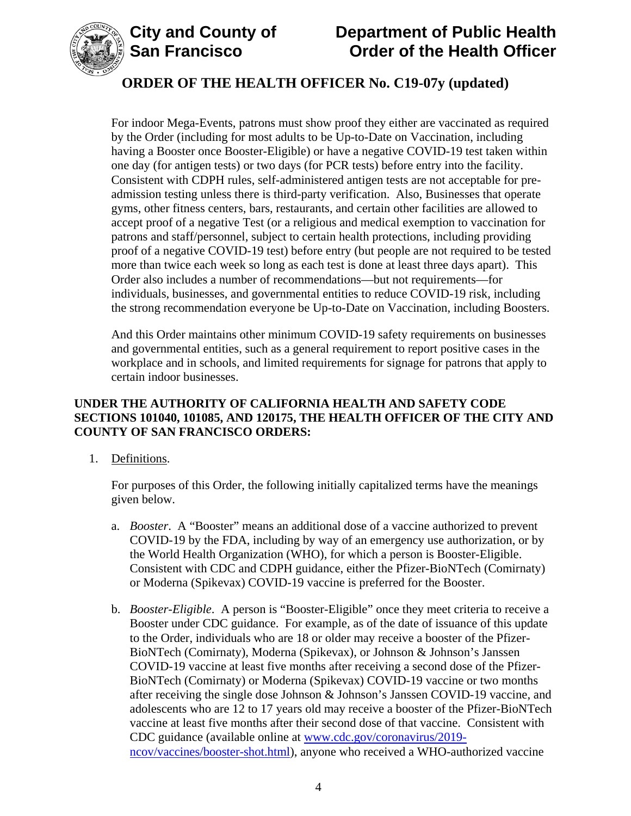



For indoor Mega-Events, patrons must show proof they either are vaccinated as required by the Order (including for most adults to be Up-to-Date on Vaccination, including having a Booster once Booster-Eligible) or have a negative COVID-19 test taken within one day (for antigen tests) or two days (for PCR tests) before entry into the facility. Consistent with CDPH rules, self-administered antigen tests are not acceptable for preadmission testing unless there is third-party verification. Also, Businesses that operate gyms, other fitness centers, bars, restaurants, and certain other facilities are allowed to accept proof of a negative Test (or a religious and medical exemption to vaccination for patrons and staff/personnel, subject to certain health protections, including providing proof of a negative COVID-19 test) before entry (but people are not required to be tested more than twice each week so long as each test is done at least three days apart). This Order also includes a number of recommendations—but not requirements—for individuals, businesses, and governmental entities to reduce COVID-19 risk, including the strong recommendation everyone be Up-to-Date on Vaccination, including Boosters.

And this Order maintains other minimum COVID-19 safety requirements on businesses and governmental entities, such as a general requirement to report positive cases in the workplace and in schools, and limited requirements for signage for patrons that apply to certain indoor businesses.

### **UNDER THE AUTHORITY OF CALIFORNIA HEALTH AND SAFETY CODE SECTIONS 101040, 101085, AND 120175, THE HEALTH OFFICER OF THE CITY AND COUNTY OF SAN FRANCISCO ORDERS:**

1. Definitions.

For purposes of this Order, the following initially capitalized terms have the meanings given below.

- a. *Booster*. A "Booster" means an additional dose of a vaccine authorized to prevent COVID-19 by the FDA, including by way of an emergency use authorization, or by the World Health Organization (WHO), for which a person is Booster-Eligible. Consistent with CDC and CDPH guidance, either the Pfizer-BioNTech (Comirnaty) or Moderna (Spikevax) COVID-19 vaccine is preferred for the Booster.
- b. *Booster-Eligible*. A person is "Booster-Eligible" once they meet criteria to receive a Booster under CDC guidance. For example, as of the date of issuance of this update to the Order, individuals who are 18 or older may receive a booster of the Pfizer-BioNTech (Comirnaty), Moderna (Spikevax), or Johnson & Johnson's Janssen COVID-19 vaccine at least five months after receiving a second dose of the Pfizer-BioNTech (Comirnaty) or Moderna (Spikevax) COVID-19 vaccine or two months after receiving the single dose Johnson & Johnson's Janssen COVID-19 vaccine, and adolescents who are 12 to 17 years old may receive a booster of the Pfizer-BioNTech vaccine at least five months after their second dose of that vaccine. Consistent with CDC guidance (available online at [www.cdc.gov/coronavirus/2019](https://www.cdc.gov/coronavirus/2019-ncov/vaccines/booster-shot.html) [ncov/vaccines/booster-shot.html\)](https://www.cdc.gov/coronavirus/2019-ncov/vaccines/booster-shot.html), anyone who received a WHO-authorized vaccine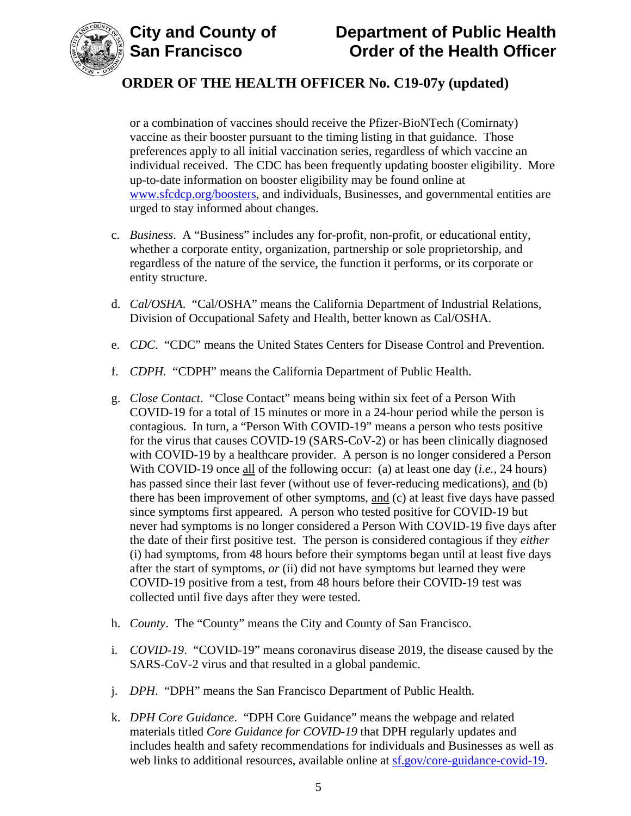



or a combination of vaccines should receive the Pfizer-BioNTech (Comirnaty) vaccine as their booster pursuant to the timing listing in that guidance. Those preferences apply to all initial vaccination series, regardless of which vaccine an individual received. The CDC has been frequently updating booster eligibility. More up-to-date information on booster eligibility may be found online at [www.sfcdcp.org/boosters,](https://www.sfcdcp.org/boosters) and individuals, Businesses, and governmental entities are urged to stay informed about changes.

- c. *Business*. A "Business" includes any for-profit, non-profit, or educational entity, whether a corporate entity, organization, partnership or sole proprietorship, and regardless of the nature of the service, the function it performs, or its corporate or entity structure.
- d. *Cal/OSHA*. "Cal/OSHA" means the California Department of Industrial Relations, Division of Occupational Safety and Health, better known as Cal/OSHA.
- e. *CDC*. "CDC" means the United States Centers for Disease Control and Prevention.
- f. *CDPH.* "CDPH" means the California Department of Public Health.
- g. *Close Contact*. "Close Contact" means being within six feet of a Person With COVID-19 for a total of 15 minutes or more in a 24-hour period while the person is contagious. In turn, a "Person With COVID-19" means a person who tests positive for the virus that causes COVID-19 (SARS-CoV-2) or has been clinically diagnosed with COVID-19 by a healthcare provider. A person is no longer considered a Person With COVID-19 once all of the following occur: (a) at least one day (*i.e.*, 24 hours) has passed since their last fever (without use of fever-reducing medications), and (b) there has been improvement of other symptoms, and (c) at least five days have passed since symptoms first appeared. A person who tested positive for COVID-19 but never had symptoms is no longer considered a Person With COVID-19 five days after the date of their first positive test. The person is considered contagious if they *either* (i) had symptoms, from 48 hours before their symptoms began until at least five days after the start of symptoms, *or* (ii) did not have symptoms but learned they were COVID-19 positive from a test, from 48 hours before their COVID-19 test was collected until five days after they were tested.
- h. *County*. The "County" means the City and County of San Francisco.
- i. *COVID-19*. "COVID-19" means coronavirus disease 2019, the disease caused by the SARS-CoV-2 virus and that resulted in a global pandemic.
- j. *DPH*. "DPH" means the San Francisco Department of Public Health.
- k. *DPH Core Guidance*. "DPH Core Guidance" means the webpage and related materials titled *Core Guidance for COVID-19* that DPH regularly updates and includes health and safety recommendations for individuals and Businesses as well as web links to additional resources, available online at [sf.gov/core-guidance-covid-19.](https://sf.gov/core-guidance-covid-19)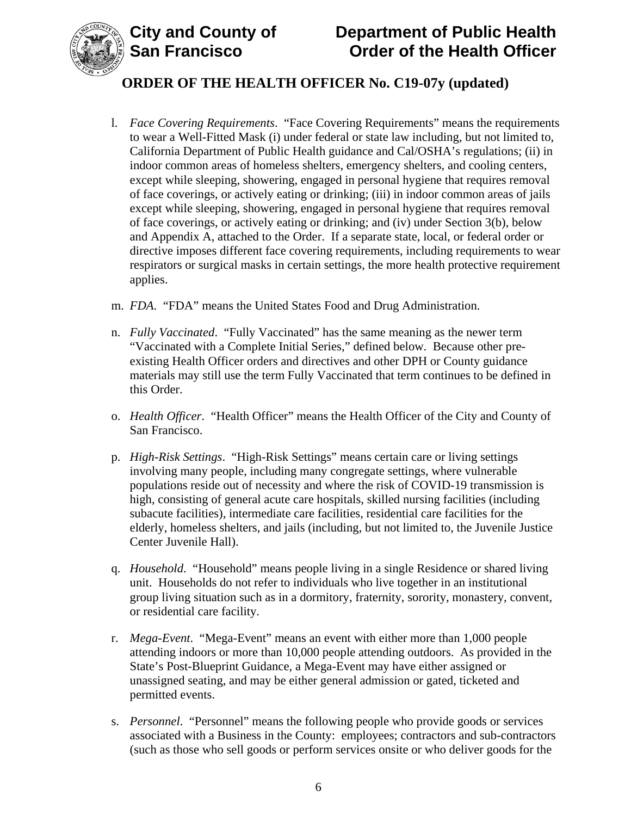

- l. *Face Covering Requirements*. "Face Covering Requirements" means the requirements to wear a Well-Fitted Mask (i) under federal or state law including, but not limited to, California Department of Public Health guidance and Cal/OSHA's regulations; (ii) in indoor common areas of homeless shelters, emergency shelters, and cooling centers, except while sleeping, showering, engaged in personal hygiene that requires removal of face coverings, or actively eating or drinking; (iii) in indoor common areas of jails except while sleeping, showering, engaged in personal hygiene that requires removal of face coverings, or actively eating or drinking; and (iv) under Section 3(b), below and Appendix A, attached to the Order. If a separate state, local, or federal order or directive imposes different face covering requirements, including requirements to wear respirators or surgical masks in certain settings, the more health protective requirement applies.
- m. *FDA*. "FDA" means the United States Food and Drug Administration.
- n. *Fully Vaccinated*. "Fully Vaccinated" has the same meaning as the newer term "Vaccinated with a Complete Initial Series," defined below. Because other preexisting Health Officer orders and directives and other DPH or County guidance materials may still use the term Fully Vaccinated that term continues to be defined in this Order.
- o. *Health Officer*. "Health Officer" means the Health Officer of the City and County of San Francisco.
- p. *High-Risk Settings*. "High-Risk Settings" means certain care or living settings involving many people, including many congregate settings, where vulnerable populations reside out of necessity and where the risk of COVID-19 transmission is high, consisting of general acute care hospitals, skilled nursing facilities (including subacute facilities), intermediate care facilities, residential care facilities for the elderly, homeless shelters, and jails (including, but not limited to, the Juvenile Justice Center Juvenile Hall).
- q. *Household*. "Household" means people living in a single Residence or shared living unit. Households do not refer to individuals who live together in an institutional group living situation such as in a dormitory, fraternity, sorority, monastery, convent, or residential care facility.
- r. *Mega-Event*. "Mega-Event" means an event with either more than 1,000 people attending indoors or more than 10,000 people attending outdoors. As provided in the State's Post-Blueprint Guidance, a Mega-Event may have either assigned or unassigned seating, and may be either general admission or gated, ticketed and permitted events.
- s. *Personnel*."Personnel" means the following people who provide goods or services associated with a Business in the County: employees; contractors and sub-contractors (such as those who sell goods or perform services onsite or who deliver goods for the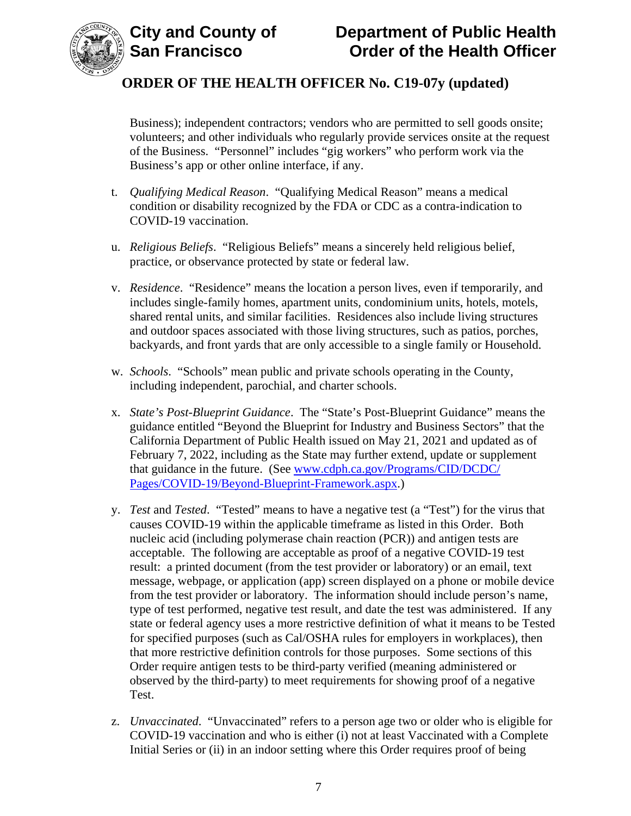

Business); independent contractors; vendors who are permitted to sell goods onsite; volunteers; and other individuals who regularly provide services onsite at the request of the Business. "Personnel" includes "gig workers" who perform work via the Business's app or other online interface, if any.

- t. *Qualifying Medical Reason*. "Qualifying Medical Reason" means a medical condition or disability recognized by the FDA or CDC as a contra-indication to COVID-19 vaccination.
- u. *Religious Beliefs*. "Religious Beliefs" means a sincerely held religious belief, practice, or observance protected by state or federal law.
- v. *Residence*. "Residence" means the location a person lives, even if temporarily, and includes single-family homes, apartment units, condominium units, hotels, motels, shared rental units, and similar facilities. Residences also include living structures and outdoor spaces associated with those living structures, such as patios, porches, backyards, and front yards that are only accessible to a single family or Household.
- w. *Schools*. "Schools" mean public and private schools operating in the County, including independent, parochial, and charter schools.
- x. *State's Post-Blueprint Guidance*. The "State's Post-Blueprint Guidance" means the guidance entitled "Beyond the Blueprint for Industry and Business Sectors" that the California Department of Public Health issued on May 21, 2021 and updated as of February 7, 2022, including as the State may further extend, update or supplement that guidance in the future. (See [www.cdph.ca.gov/Programs/CID/DCDC/](http://www.cdph.ca.gov/Programs/CID/DCDC/Pages/COVID-19/Beyond-Blueprint-Framework.aspx) [Pages/COVID-19/Beyond-Blueprint-Framework.aspx.](http://www.cdph.ca.gov/Programs/CID/DCDC/Pages/COVID-19/Beyond-Blueprint-Framework.aspx))
- y. *Test* and *Tested*. "Tested" means to have a negative test (a "Test") for the virus that causes COVID-19 within the applicable timeframe as listed in this Order. Both nucleic acid (including polymerase chain reaction (PCR)) and antigen tests are acceptable. The following are acceptable as proof of a negative COVID-19 test result: a printed document (from the test provider or laboratory) or an email, text message, webpage, or application (app) screen displayed on a phone or mobile device from the test provider or laboratory. The information should include person's name, type of test performed, negative test result, and date the test was administered. If any state or federal agency uses a more restrictive definition of what it means to be Tested for specified purposes (such as Cal/OSHA rules for employers in workplaces), then that more restrictive definition controls for those purposes. Some sections of this Order require antigen tests to be third-party verified (meaning administered or observed by the third-party) to meet requirements for showing proof of a negative Test.
- z. *Unvaccinated*. "Unvaccinated" refers to a person age two or older who is eligible for COVID-19 vaccination and who is either (i) not at least Vaccinated with a Complete Initial Series or (ii) in an indoor setting where this Order requires proof of being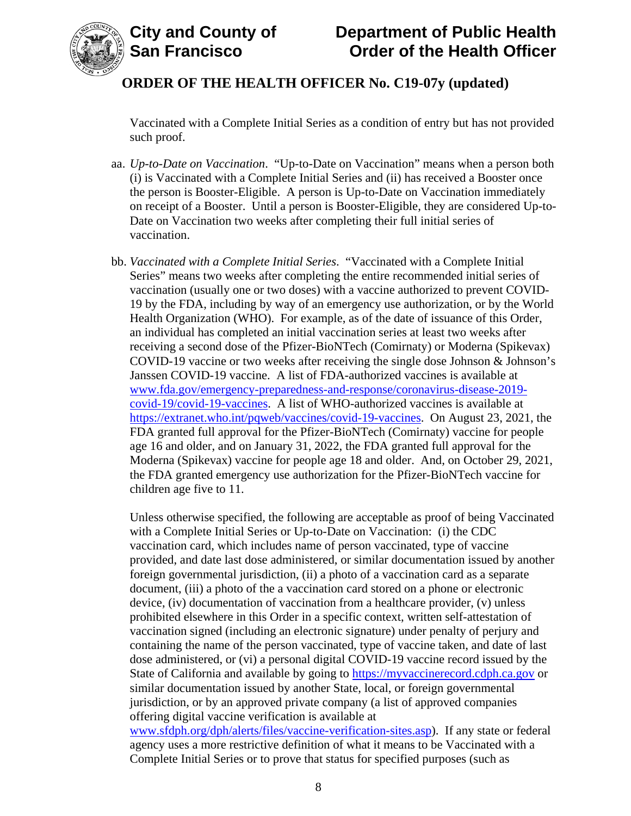

Vaccinated with a Complete Initial Series as a condition of entry but has not provided such proof.

- aa. *Up-to-Date on Vaccination*. "Up-to-Date on Vaccination" means when a person both (i) is Vaccinated with a Complete Initial Series and (ii) has received a Booster once the person is Booster-Eligible. A person is Up-to-Date on Vaccination immediately on receipt of a Booster. Until a person is Booster-Eligible, they are considered Up-to-Date on Vaccination two weeks after completing their full initial series of vaccination.
- bb. *Vaccinated with a Complete Initial Series*. "Vaccinated with a Complete Initial Series" means two weeks after completing the entire recommended initial series of vaccination (usually one or two doses) with a vaccine authorized to prevent COVID-19 by the FDA, including by way of an emergency use authorization, or by the World Health Organization (WHO). For example, as of the date of issuance of this Order, an individual has completed an initial vaccination series at least two weeks after receiving a second dose of the Pfizer-BioNTech (Comirnaty) or Moderna (Spikevax) COVID-19 vaccine or two weeks after receiving the single dose Johnson & Johnson's Janssen COVID-19 vaccine. A list of FDA-authorized vaccines is available at [www.fda.gov/emergency-preparedness-and-response/coronavirus-disease-2019](https://www.fda.gov/emergency-preparedness-and-response/coronavirus-disease-2019-covid-19/covid-19-vaccines) [covid-19/covid-19-vaccines.](https://www.fda.gov/emergency-preparedness-and-response/coronavirus-disease-2019-covid-19/covid-19-vaccines) A list of WHO-authorized vaccines is available at [https://extranet.who.int/pqweb/vaccines/covid-19-vaccines.](https://extranet.who.int/pqweb/vaccines/covid-19-vaccines) On August 23, 2021, the FDA granted full approval for the Pfizer-BioNTech (Comirnaty) vaccine for people age 16 and older, and on January 31, 2022, the FDA granted full approval for the Moderna (Spikevax) vaccine for people age 18 and older. And, on October 29, 2021, the FDA granted emergency use authorization for the Pfizer-BioNTech vaccine for children age five to 11.

Unless otherwise specified, the following are acceptable as proof of being Vaccinated with a Complete Initial Series or Up-to-Date on Vaccination: (i) the CDC vaccination card, which includes name of person vaccinated, type of vaccine provided, and date last dose administered, or similar documentation issued by another foreign governmental jurisdiction, (ii) a photo of a vaccination card as a separate document, (iii) a photo of the a vaccination card stored on a phone or electronic device, (iv) documentation of vaccination from a healthcare provider, (v) unless prohibited elsewhere in this Order in a specific context, written self-attestation of vaccination signed (including an electronic signature) under penalty of perjury and containing the name of the person vaccinated, type of vaccine taken, and date of last dose administered, or (vi) a personal digital COVID-19 vaccine record issued by the State of California and available by going to [https://myvaccinerecord.cdph.ca.gov](https://myvaccinerecord.cdph.ca.gov/) or similar documentation issued by another State, local, or foreign governmental jurisdiction, or by an approved private company (a list of approved companies offering digital vaccine verification is available at [www.sfdph.org/dph/alerts/files/vaccine-verification-sites.asp\)](https://www.sfdph.org/dph/alerts/files/vaccine-verification-sites.asp). If any state or federal agency uses a more restrictive definition of what it means to be Vaccinated with a

Complete Initial Series or to prove that status for specified purposes (such as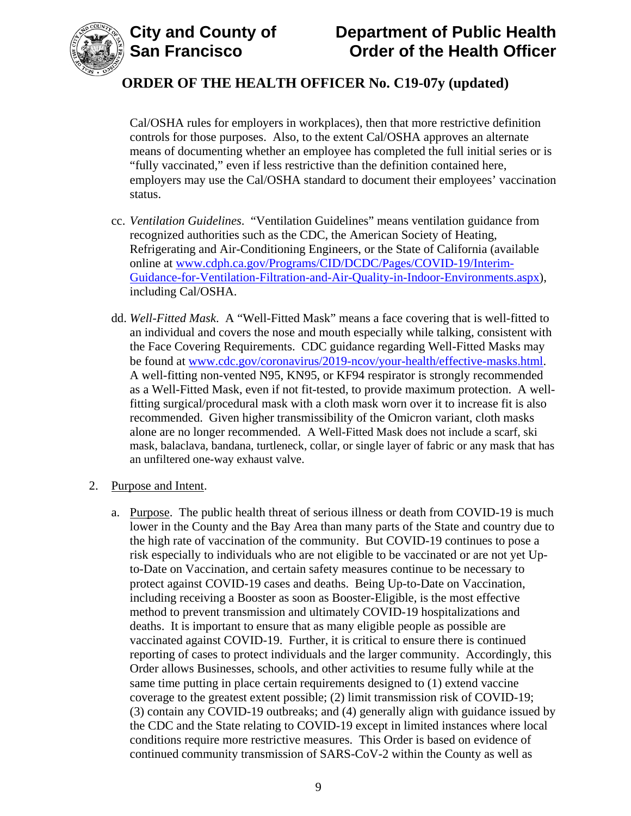

Cal/OSHA rules for employers in workplaces), then that more restrictive definition controls for those purposes. Also, to the extent Cal/OSHA approves an alternate means of documenting whether an employee has completed the full initial series or is "fully vaccinated," even if less restrictive than the definition contained here, employers may use the Cal/OSHA standard to document their employees' vaccination status.

- cc. *Ventilation Guidelines*. "Ventilation Guidelines" means ventilation guidance from recognized authorities such as the CDC, the American Society of Heating, Refrigerating and Air-Conditioning Engineers, or the State of California (available online at [www.cdph.ca.gov/Programs/CID/DCDC/Pages/COVID-19/Interim-](https://www.cdph.ca.gov/Programs/CID/DCDC/Pages/COVID-19/Interim-Guidance-for-Ventilation-Filtration-and-Air-Quality-in-Indoor-Environments.aspx)[Guidance-for-Ventilation-Filtration-and-Air-Quality-in-Indoor-Environments.aspx\)](https://www.cdph.ca.gov/Programs/CID/DCDC/Pages/COVID-19/Interim-Guidance-for-Ventilation-Filtration-and-Air-Quality-in-Indoor-Environments.aspx), including Cal/OSHA.
- dd. *Well-Fitted Mask*. A "Well-Fitted Mask" means a face covering that is well-fitted to an individual and covers the nose and mouth especially while talking, consistent with the Face Covering Requirements. CDC guidance regarding Well-Fitted Masks may be found at [www.cdc.gov/coronavirus/2019-ncov/your-health/effective-masks.html.](https://www.cdc.gov/coronavirus/2019-ncov/your-health/effective-masks.html) A well-fitting non-vented N95, KN95, or KF94 respirator is strongly recommended as a Well-Fitted Mask, even if not fit-tested, to provide maximum protection. A wellfitting surgical/procedural mask with a cloth mask worn over it to increase fit is also recommended. Given higher transmissibility of the Omicron variant, cloth masks alone are no longer recommended. A Well-Fitted Mask does not include a scarf, ski mask, balaclava, bandana, turtleneck, collar, or single layer of fabric or any mask that has an unfiltered one-way exhaust valve.
- 2. Purpose and Intent.
	- a. Purpose. The public health threat of serious illness or death from COVID-19 is much lower in the County and the Bay Area than many parts of the State and country due to the high rate of vaccination of the community. But COVID-19 continues to pose a risk especially to individuals who are not eligible to be vaccinated or are not yet Upto-Date on Vaccination, and certain safety measures continue to be necessary to protect against COVID-19 cases and deaths. Being Up-to-Date on Vaccination, including receiving a Booster as soon as Booster-Eligible, is the most effective method to prevent transmission and ultimately COVID-19 hospitalizations and deaths. It is important to ensure that as many eligible people as possible are vaccinated against COVID-19. Further, it is critical to ensure there is continued reporting of cases to protect individuals and the larger community. Accordingly, this Order allows Businesses, schools, and other activities to resume fully while at the same time putting in place certain requirements designed to (1) extend vaccine coverage to the greatest extent possible; (2) limit transmission risk of COVID-19; (3) contain any COVID-19 outbreaks; and (4) generally align with guidance issued by the CDC and the State relating to COVID-19 except in limited instances where local conditions require more restrictive measures. This Order is based on evidence of continued community transmission of SARS-CoV-2 within the County as well as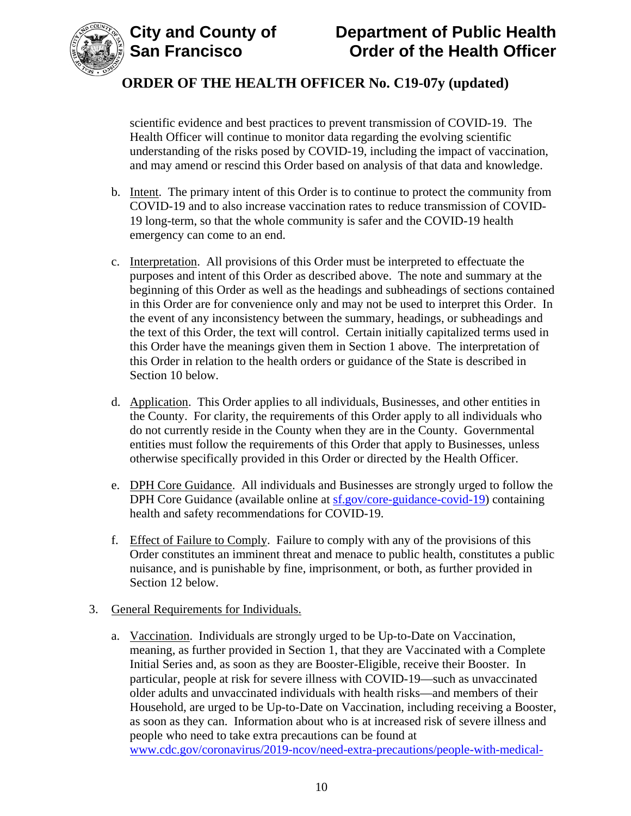



scientific evidence and best practices to prevent transmission of COVID-19. The Health Officer will continue to monitor data regarding the evolving scientific understanding of the risks posed by COVID-19, including the impact of vaccination, and may amend or rescind this Order based on analysis of that data and knowledge.

- b. Intent. The primary intent of this Order is to continue to protect the community from COVID-19 and to also increase vaccination rates to reduce transmission of COVID-19 long-term, so that the whole community is safer and the COVID-19 health emergency can come to an end.
- c. Interpretation. All provisions of this Order must be interpreted to effectuate the purposes and intent of this Order as described above. The note and summary at the beginning of this Order as well as the headings and subheadings of sections contained in this Order are for convenience only and may not be used to interpret this Order. In the event of any inconsistency between the summary, headings, or subheadings and the text of this Order, the text will control. Certain initially capitalized terms used in this Order have the meanings given them in Section 1 above. The interpretation of this Order in relation to the health orders or guidance of the State is described in Section 10 below.
- d. Application. This Order applies to all individuals, Businesses, and other entities in the County. For clarity, the requirements of this Order apply to all individuals who do not currently reside in the County when they are in the County. Governmental entities must follow the requirements of this Order that apply to Businesses, unless otherwise specifically provided in this Order or directed by the Health Officer.
- e. DPH Core Guidance. All individuals and Businesses are strongly urged to follow the DPH Core Guidance (available online at [sf.gov/core-guidance-covid-19\)](https://sf.gov/core-guidance-covid-19) containing health and safety recommendations for COVID-19.
- f. Effect of Failure to Comply. Failure to comply with any of the provisions of this Order constitutes an imminent threat and menace to public health, constitutes a public nuisance, and is punishable by fine, imprisonment, or both, as further provided in Section 12 below.

### 3. General Requirements for Individuals.

a. Vaccination. Individuals are strongly urged to be Up-to-Date on Vaccination, meaning, as further provided in Section 1, that they are Vaccinated with a Complete Initial Series and, as soon as they are Booster-Eligible, receive their Booster. In particular, people at risk for severe illness with COVID-19—such as unvaccinated older adults and unvaccinated individuals with health risks—and members of their Household, are urged to be Up-to-Date on Vaccination, including receiving a Booster, as soon as they can. Information about who is at increased risk of severe illness and people who need to take extra precautions can be found at [www.cdc.gov/coronavirus/2019-ncov/need-extra-precautions/people-with-medical-](https://www.cdc.gov/coronavirus/2019-ncov/need-extra-precautions/people-with-medical-conditions.html)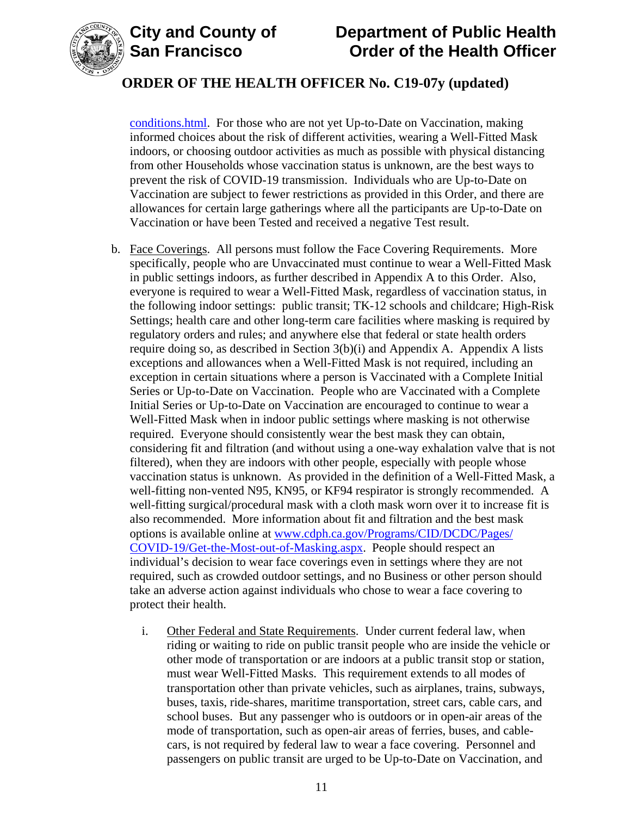

### **ORDER OF THE HEALTH OFFICER No. C19-07y (updated)**

[conditions.html.](https://www.cdc.gov/coronavirus/2019-ncov/need-extra-precautions/people-with-medical-conditions.html) For those who are not yet Up-to-Date on Vaccination, making informed choices about the risk of different activities, wearing a Well-Fitted Mask indoors, or choosing outdoor activities as much as possible with physical distancing from other Households whose vaccination status is unknown, are the best ways to prevent the risk of COVID-19 transmission. Individuals who are Up-to-Date on Vaccination are subject to fewer restrictions as provided in this Order, and there are allowances for certain large gatherings where all the participants are Up-to-Date on Vaccination or have been Tested and received a negative Test result.

- b. Face Coverings. All persons must follow the Face Covering Requirements. More specifically, people who are Unvaccinated must continue to wear a Well-Fitted Mask in public settings indoors, as further described in Appendix A to this Order. Also, everyone is required to wear a Well-Fitted Mask, regardless of vaccination status, in the following indoor settings: public transit; TK-12 schools and childcare; High-Risk Settings; health care and other long-term care facilities where masking is required by regulatory orders and rules; and anywhere else that federal or state health orders require doing so, as described in Section 3(b)(i) and Appendix A. Appendix A lists exceptions and allowances when a Well-Fitted Mask is not required, including an exception in certain situations where a person is Vaccinated with a Complete Initial Series or Up-to-Date on Vaccination. People who are Vaccinated with a Complete Initial Series or Up-to-Date on Vaccination are encouraged to continue to wear a Well-Fitted Mask when in indoor public settings where masking is not otherwise required. Everyone should consistently wear the best mask they can obtain, considering fit and filtration (and without using a one-way exhalation valve that is not filtered), when they are indoors with other people, especially with people whose vaccination status is unknown. As provided in the definition of a Well-Fitted Mask, a well-fitting non-vented N95, KN95, or KF94 respirator is strongly recommended. A well-fitting surgical/procedural mask with a cloth mask worn over it to increase fit is also recommended. More information about fit and filtration and the best mask options is available online at [www.cdph.ca.gov/Programs/CID/DCDC/Pages/](https://www.cdph.ca.gov/Programs/CID/DCDC/Pages/COVID-19/Get-the-Most-out-of-Masking.aspx) [COVID-19/Get-the-Most-out-of-Masking.aspx.](https://www.cdph.ca.gov/Programs/CID/DCDC/Pages/COVID-19/Get-the-Most-out-of-Masking.aspx) People should respect an individual's decision to wear face coverings even in settings where they are not required, such as crowded outdoor settings, and no Business or other person should take an adverse action against individuals who chose to wear a face covering to protect their health.
	- i. Other Federal and State Requirements. Under current federal law, when riding or waiting to ride on public transit people who are inside the vehicle or other mode of transportation or are indoors at a public transit stop or station, must wear Well-Fitted Masks. This requirement extends to all modes of transportation other than private vehicles, such as airplanes, trains, subways, buses, taxis, ride-shares, maritime transportation, street cars, cable cars, and school buses. But any passenger who is outdoors or in open-air areas of the mode of transportation, such as open-air areas of ferries, buses, and cablecars, is not required by federal law to wear a face covering. Personnel and passengers on public transit are urged to be Up-to-Date on Vaccination, and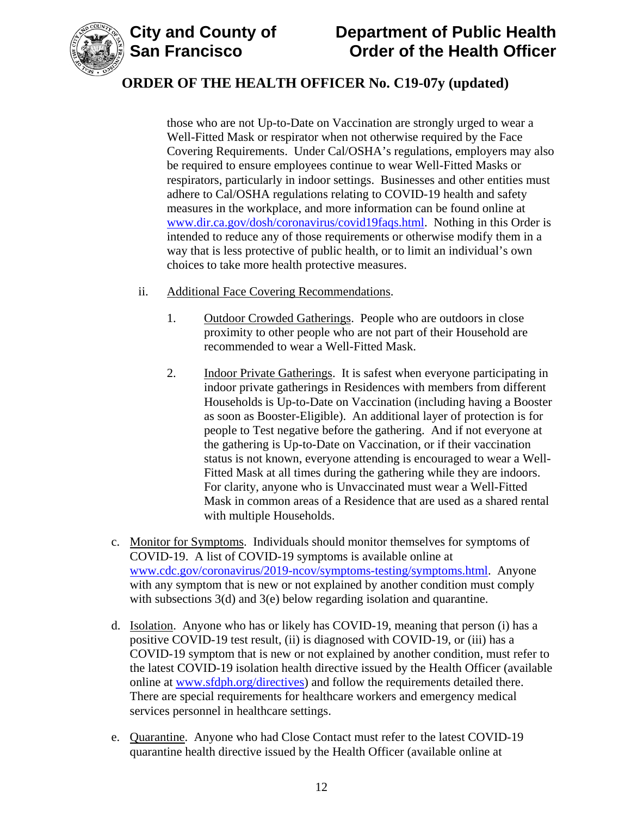

# **ORDER OF THE HEALTH OFFICER No. C19-07y (updated)**

those who are not Up-to-Date on Vaccination are strongly urged to wear a Well-Fitted Mask or respirator when not otherwise required by the Face Covering Requirements. Under Cal/OSHA's regulations, employers may also be required to ensure employees continue to wear Well-Fitted Masks or respirators, particularly in indoor settings. Businesses and other entities must adhere to Cal/OSHA regulations relating to COVID-19 health and safety measures in the workplace, and more information can be found online at [www.dir.ca.gov/dosh/coronavirus/covid19faqs.html.](https://www.dir.ca.gov/dosh/coronavirus/covid19faqs.html) Nothing in this Order is intended to reduce any of those requirements or otherwise modify them in a way that is less protective of public health, or to limit an individual's own choices to take more health protective measures.

- ii. Additional Face Covering Recommendations.
	- 1. Outdoor Crowded Gatherings. People who are outdoors in close proximity to other people who are not part of their Household are recommended to wear a Well-Fitted Mask.
	- 2. Indoor Private Gatherings. It is safest when everyone participating in indoor private gatherings in Residences with members from different Households is Up-to-Date on Vaccination (including having a Booster as soon as Booster-Eligible). An additional layer of protection is for people to Test negative before the gathering. And if not everyone at the gathering is Up-to-Date on Vaccination, or if their vaccination status is not known, everyone attending is encouraged to wear a Well-Fitted Mask at all times during the gathering while they are indoors. For clarity, anyone who is Unvaccinated must wear a Well-Fitted Mask in common areas of a Residence that are used as a shared rental with multiple Households.
- c. Monitor for Symptoms. Individuals should monitor themselves for symptoms of COVID-19. A list of COVID-19 symptoms is available online at [www.cdc.gov/coronavirus/2019-ncov/symptoms-testing/symptoms.html.](https://www.cdc.gov/coronavirus/2019-ncov/symptoms-testing/symptoms.html) Anyone with any symptom that is new or not explained by another condition must comply with subsections 3(d) and 3(e) below regarding isolation and quarantine.
- d. Isolation. Anyone who has or likely has COVID-19, meaning that person (i) has a positive COVID-19 test result, (ii) is diagnosed with COVID-19, or (iii) has a COVID-19 symptom that is new or not explained by another condition, must refer to the latest COVID-19 isolation health directive issued by the Health Officer (available online at [www.sfdph.org/directives\)](https://www.sfdph.org/directives) and follow the requirements detailed there. There are special requirements for healthcare workers and emergency medical services personnel in healthcare settings.
- e. Quarantine. Anyone who had Close Contact must refer to the latest COVID-19 quarantine health directive issued by the Health Officer (available online at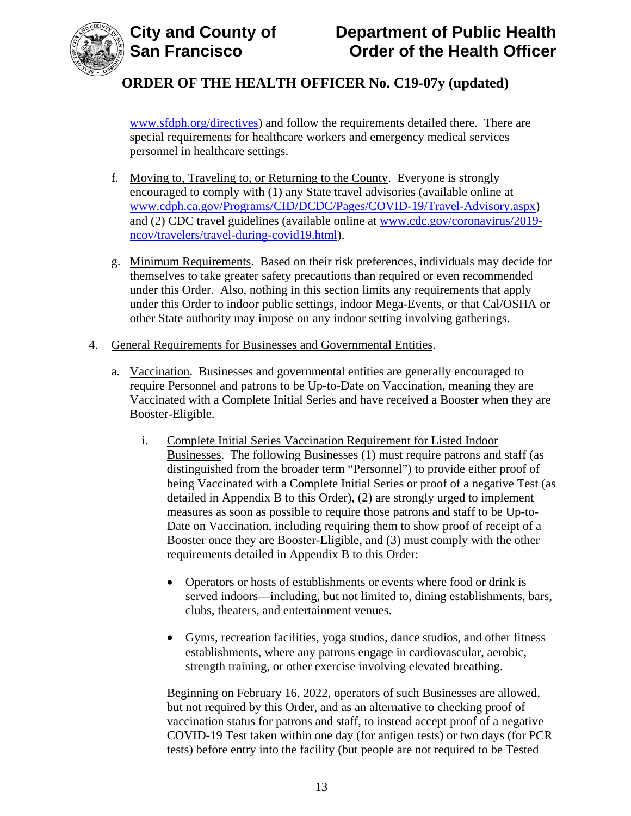

[www.sfdph.org/directives\)](https://www.sfdph.org/directives) and follow the requirements detailed there. There are special requirements for healthcare workers and emergency medical services personnel in healthcare settings.

- f. Moving to, Traveling to, or Returning to the County. Everyone is strongly encouraged to comply with (1) any State travel advisories (available online at [www.cdph.ca.gov/Programs/CID/DCDC/Pages/COVID-19/Travel-Advisory.aspx\)](https://www.cdph.ca.gov/Programs/CID/DCDC/Pages/COVID-19/Travel-Advisory.aspx) and (2) CDC travel guidelines (available online at [www.cdc.gov/coronavirus/2019](https://www.cdc.gov/coronavirus/2019-ncov/travelers/travel-during-covid19.html) [ncov/travelers/travel-during-covid19.html\)](https://www.cdc.gov/coronavirus/2019-ncov/travelers/travel-during-covid19.html).
- g. Minimum Requirements. Based on their risk preferences, individuals may decide for themselves to take greater safety precautions than required or even recommended under this Order. Also, nothing in this section limits any requirements that apply under this Order to indoor public settings, indoor Mega-Events, or that Cal/OSHA or other State authority may impose on any indoor setting involving gatherings.
- 4. General Requirements for Businesses and Governmental Entities.
	- a. Vaccination. Businesses and governmental entities are generally encouraged to require Personnel and patrons to be Up-to-Date on Vaccination, meaning they are Vaccinated with a Complete Initial Series and have received a Booster when they are Booster-Eligible.
		- i. Complete Initial Series Vaccination Requirement for Listed Indoor Businesses. The following Businesses (1) must require patrons and staff (as distinguished from the broader term "Personnel") to provide either proof of being Vaccinated with a Complete Initial Series or proof of a negative Test (as detailed in Appendix B to this Order), (2) are strongly urged to implement measures as soon as possible to require those patrons and staff to be Up-to-Date on Vaccination, including requiring them to show proof of receipt of a Booster once they are Booster-Eligible, and (3) must comply with the other requirements detailed in Appendix B to this Order:
			- Operators or hosts of establishments or events where food or drink is served indoors—including, but not limited to, dining establishments, bars, clubs, theaters, and entertainment venues.
			- Gyms, recreation facilities, yoga studios, dance studios, and other fitness establishments, where any patrons engage in cardiovascular, aerobic, strength training, or other exercise involving elevated breathing.

Beginning on February 16, 2022, operators of such Businesses are allowed, but not required by this Order, and as an alternative to checking proof of vaccination status for patrons and staff, to instead accept proof of a negative COVID-19 Test taken within one day (for antigen tests) or two days (for PCR tests) before entry into the facility (but people are not required to be Tested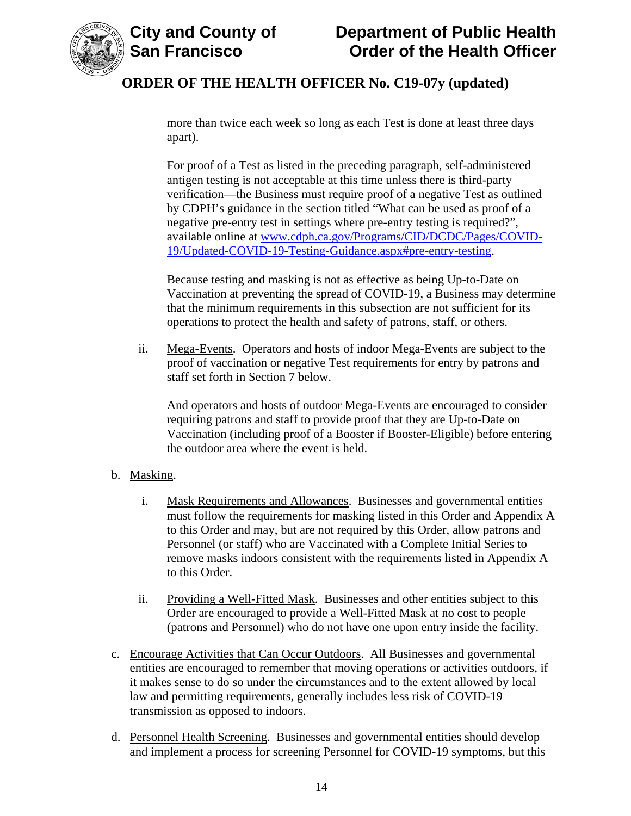

more than twice each week so long as each Test is done at least three days apart).

For proof of a Test as listed in the preceding paragraph, self-administered antigen testing is not acceptable at this time unless there is third-party verification—the Business must require proof of a negative Test as outlined by CDPH's guidance in the section titled "What can be used as proof of a negative pre-entry test in settings where pre-entry testing is required?", available online at [www.cdph.ca.gov/Programs/CID/DCDC/Pages/COVID-](https://www.cdph.ca.gov/Programs/CID/DCDC/Pages/COVID-19/Updated-COVID-19-Testing-Guidance.aspx#pre-entry-testing)[19/Updated-COVID-19-Testing-Guidance.aspx#pre-entry-testing.](https://www.cdph.ca.gov/Programs/CID/DCDC/Pages/COVID-19/Updated-COVID-19-Testing-Guidance.aspx#pre-entry-testing)

Because testing and masking is not as effective as being Up-to-Date on Vaccination at preventing the spread of COVID-19, a Business may determine that the minimum requirements in this subsection are not sufficient for its operations to protect the health and safety of patrons, staff, or others.

ii. Mega-Events. Operators and hosts of indoor Mega-Events are subject to the proof of vaccination or negative Test requirements for entry by patrons and staff set forth in Section 7 below.

And operators and hosts of outdoor Mega-Events are encouraged to consider requiring patrons and staff to provide proof that they are Up-to-Date on Vaccination (including proof of a Booster if Booster-Eligible) before entering the outdoor area where the event is held.

### b. Masking.

- i. Mask Requirements and Allowances. Businesses and governmental entities must follow the requirements for masking listed in this Order and Appendix A to this Order and may, but are not required by this Order, allow patrons and Personnel (or staff) who are Vaccinated with a Complete Initial Series to remove masks indoors consistent with the requirements listed in Appendix A to this Order.
- ii. Providing a Well-Fitted Mask. Businesses and other entities subject to this Order are encouraged to provide a Well-Fitted Mask at no cost to people (patrons and Personnel) who do not have one upon entry inside the facility.
- c. Encourage Activities that Can Occur Outdoors. All Businesses and governmental entities are encouraged to remember that moving operations or activities outdoors, if it makes sense to do so under the circumstances and to the extent allowed by local law and permitting requirements, generally includes less risk of COVID-19 transmission as opposed to indoors.
- d. Personnel Health Screening. Businesses and governmental entities should develop and implement a process for screening Personnel for COVID-19 symptoms, but this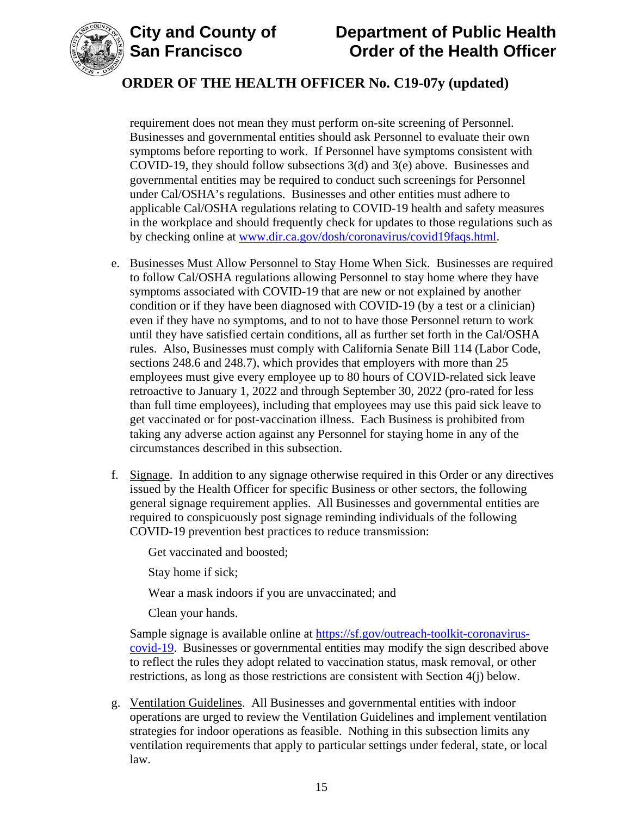



# **ORDER OF THE HEALTH OFFICER No. C19-07y (updated)**

requirement does not mean they must perform on-site screening of Personnel. Businesses and governmental entities should ask Personnel to evaluate their own symptoms before reporting to work. If Personnel have symptoms consistent with COVID-19, they should follow subsections 3(d) and 3(e) above. Businesses and governmental entities may be required to conduct such screenings for Personnel under Cal/OSHA's regulations. Businesses and other entities must adhere to applicable Cal/OSHA regulations relating to COVID-19 health and safety measures in the workplace and should frequently check for updates to those regulations such as by checking online at [www.dir.ca.gov/dosh/coronavirus/covid19faqs.html.](https://www.dir.ca.gov/dosh/coronavirus/covid19faqs.html)

- e. Businesses Must Allow Personnel to Stay Home When Sick. Businesses are required to follow Cal/OSHA regulations allowing Personnel to stay home where they have symptoms associated with COVID-19 that are new or not explained by another condition or if they have been diagnosed with COVID-19 (by a test or a clinician) even if they have no symptoms, and to not to have those Personnel return to work until they have satisfied certain conditions, all as further set forth in the Cal/OSHA rules. Also, Businesses must comply with California Senate Bill 114 (Labor Code, sections 248.6 and 248.7), which provides that employers with more than 25 employees must give every employee up to 80 hours of COVID-related sick leave retroactive to January 1, 2022 and through September 30, 2022 (pro-rated for less than full time employees), including that employees may use this paid sick leave to get vaccinated or for post-vaccination illness. Each Business is prohibited from taking any adverse action against any Personnel for staying home in any of the circumstances described in this subsection.
- f. Signage. In addition to any signage otherwise required in this Order or any directives issued by the Health Officer for specific Business or other sectors, the following general signage requirement applies. All Businesses and governmental entities are required to conspicuously post signage reminding individuals of the following COVID-19 prevention best practices to reduce transmission:

Get vaccinated and boosted;

Stay home if sick;

Wear a mask indoors if you are unvaccinated; and

Clean your hands.

Sample signage is available online at [https://sf.gov/outreach-toolkit-coronavirus](https://sf.gov/outreach-toolkit-coronavirus-covid-19)[covid-19.](https://sf.gov/outreach-toolkit-coronavirus-covid-19) Businesses or governmental entities may modify the sign described above to reflect the rules they adopt related to vaccination status, mask removal, or other restrictions, as long as those restrictions are consistent with Section 4(j) below.

g. Ventilation Guidelines. All Businesses and governmental entities with indoor operations are urged to review the Ventilation Guidelines and implement ventilation strategies for indoor operations as feasible. Nothing in this subsection limits any ventilation requirements that apply to particular settings under federal, state, or local law.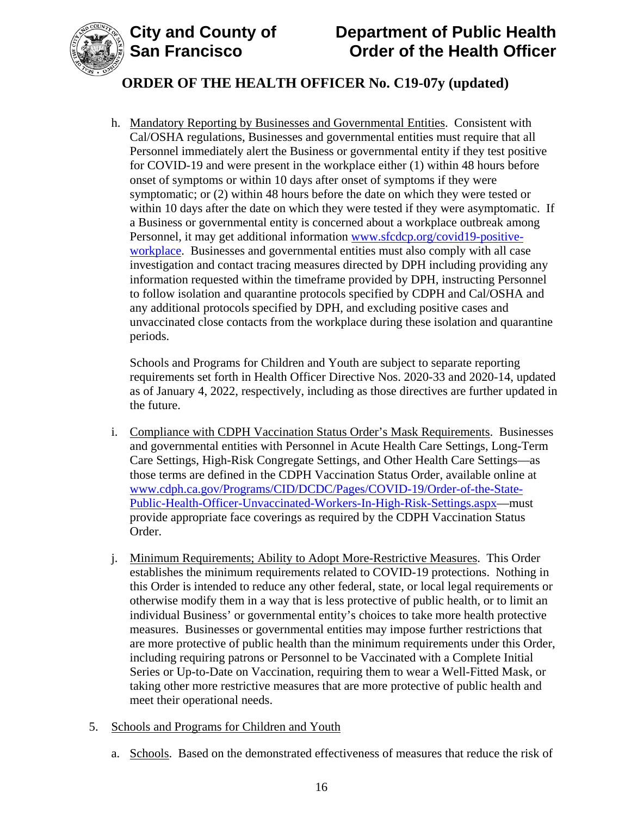

# **ORDER OF THE HEALTH OFFICER No. C19-07y (updated)**

h. Mandatory Reporting by Businesses and Governmental Entities. Consistent with Cal/OSHA regulations, Businesses and governmental entities must require that all Personnel immediately alert the Business or governmental entity if they test positive for COVID-19 and were present in the workplace either (1) within 48 hours before onset of symptoms or within 10 days after onset of symptoms if they were symptomatic; or (2) within 48 hours before the date on which they were tested or within 10 days after the date on which they were tested if they were asymptomatic. If a Business or governmental entity is concerned about a workplace outbreak among Personnel, it may get additional information [www.sfcdcp.org/covid19-positive](http://www.sfcdcp.org/covid19-positive-workplace)[workplace.](http://www.sfcdcp.org/covid19-positive-workplace) Businesses and governmental entities must also comply with all case investigation and contact tracing measures directed by DPH including providing any information requested within the timeframe provided by DPH, instructing Personnel to follow isolation and quarantine protocols specified by CDPH and Cal/OSHA and any additional protocols specified by DPH, and excluding positive cases and unvaccinated close contacts from the workplace during these isolation and quarantine periods.

Schools and Programs for Children and Youth are subject to separate reporting requirements set forth in Health Officer Directive Nos. 2020-33 and 2020-14, updated as of January 4, 2022, respectively, including as those directives are further updated in the future.

- i. Compliance with CDPH Vaccination Status Order's Mask Requirements. Businesses and governmental entities with Personnel in Acute Health Care Settings, Long-Term Care Settings, High-Risk Congregate Settings, and Other Health Care Settings—as those terms are defined in the CDPH Vaccination Status Order, available online at [www.cdph.ca.gov/Programs/CID/DCDC/Pages/COVID-19/Order-of-the-State-](https://www.cdph.ca.gov/Programs/CID/DCDC/Pages/COVID-19/Order-of-the-State-Public-Health-Officer-Unvaccinated-Workers-In-High-Risk-Settings.aspx)[Public-Health-Officer-Unvaccinated-Workers-In-High-Risk-Settings.aspx—](https://www.cdph.ca.gov/Programs/CID/DCDC/Pages/COVID-19/Order-of-the-State-Public-Health-Officer-Unvaccinated-Workers-In-High-Risk-Settings.aspx)must provide appropriate face coverings as required by the CDPH Vaccination Status Order.
- j. Minimum Requirements; Ability to Adopt More-Restrictive Measures. This Order establishes the minimum requirements related to COVID-19 protections. Nothing in this Order is intended to reduce any other federal, state, or local legal requirements or otherwise modify them in a way that is less protective of public health, or to limit an individual Business' or governmental entity's choices to take more health protective measures. Businesses or governmental entities may impose further restrictions that are more protective of public health than the minimum requirements under this Order, including requiring patrons or Personnel to be Vaccinated with a Complete Initial Series or Up-to-Date on Vaccination, requiring them to wear a Well-Fitted Mask, or taking other more restrictive measures that are more protective of public health and meet their operational needs.
- 5. Schools and Programs for Children and Youth
	- a. Schools. Based on the demonstrated effectiveness of measures that reduce the risk of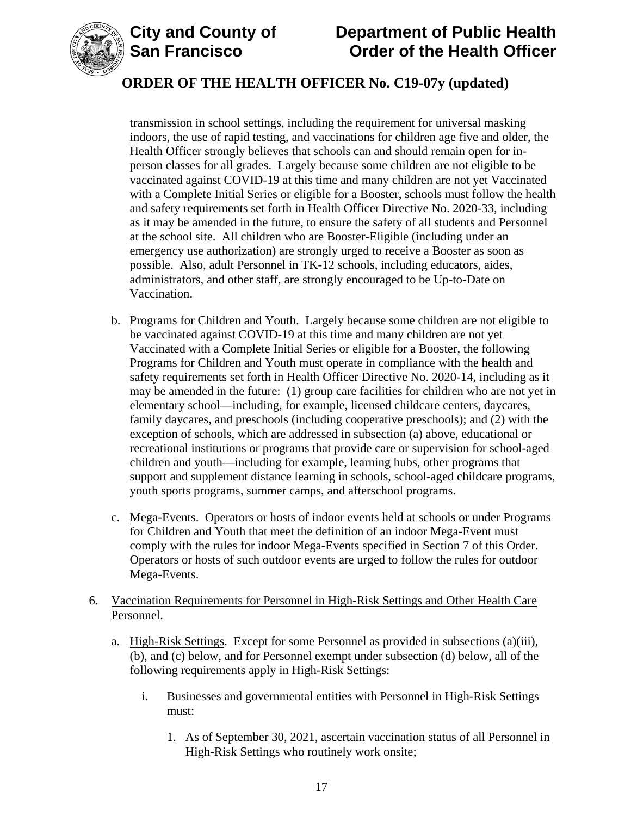



# **ORDER OF THE HEALTH OFFICER No. C19-07y (updated)**

transmission in school settings, including the requirement for universal masking indoors, the use of rapid testing, and vaccinations for children age five and older, the Health Officer strongly believes that schools can and should remain open for inperson classes for all grades. Largely because some children are not eligible to be vaccinated against COVID-19 at this time and many children are not yet Vaccinated with a Complete Initial Series or eligible for a Booster, schools must follow the health and safety requirements set forth in Health Officer Directive No. 2020-33, including as it may be amended in the future, to ensure the safety of all students and Personnel at the school site. All children who are Booster-Eligible (including under an emergency use authorization) are strongly urged to receive a Booster as soon as possible. Also, adult Personnel in TK-12 schools, including educators, aides, administrators, and other staff, are strongly encouraged to be Up-to-Date on Vaccination.

- b. Programs for Children and Youth. Largely because some children are not eligible to be vaccinated against COVID-19 at this time and many children are not yet Vaccinated with a Complete Initial Series or eligible for a Booster, the following Programs for Children and Youth must operate in compliance with the health and safety requirements set forth in Health Officer Directive No. 2020-14, including as it may be amended in the future: (1) group care facilities for children who are not yet in elementary school—including, for example, licensed childcare centers, daycares, family daycares, and preschools (including cooperative preschools); and (2) with the exception of schools, which are addressed in subsection (a) above, educational or recreational institutions or programs that provide care or supervision for school-aged children and youth—including for example, learning hubs, other programs that support and supplement distance learning in schools, school-aged childcare programs, youth sports programs, summer camps, and afterschool programs.
- c. Mega-Events. Operators or hosts of indoor events held at schools or under Programs for Children and Youth that meet the definition of an indoor Mega-Event must comply with the rules for indoor Mega-Events specified in Section 7 of this Order. Operators or hosts of such outdoor events are urged to follow the rules for outdoor Mega-Events.

### 6. Vaccination Requirements for Personnel in High-Risk Settings and Other Health Care Personnel.

- a. High-Risk Settings. Except for some Personnel as provided in subsections (a)(iii), (b), and (c) below, and for Personnel exempt under subsection (d) below, all of the following requirements apply in High-Risk Settings:
	- i. Businesses and governmental entities with Personnel in High-Risk Settings must:
		- 1. As of September 30, 2021, ascertain vaccination status of all Personnel in High-Risk Settings who routinely work onsite;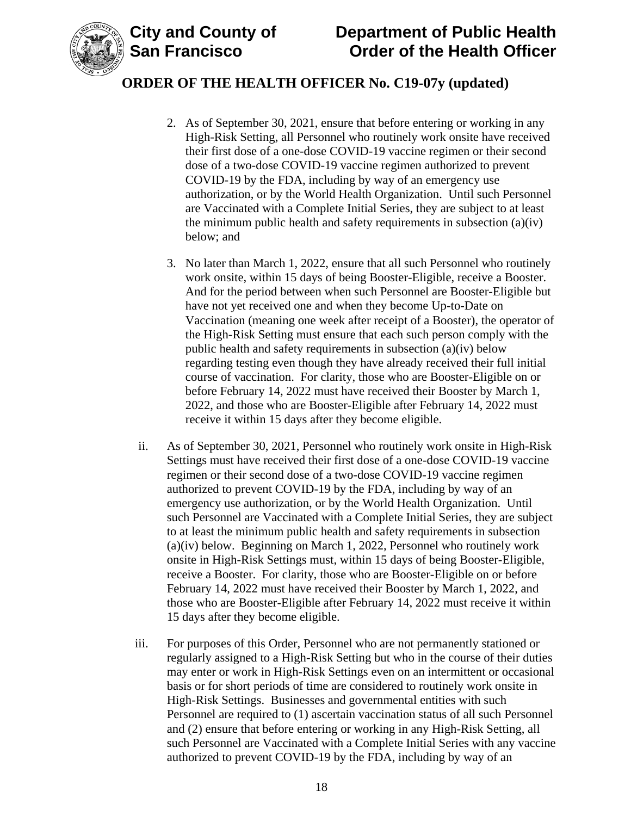

### **ORDER OF THE HEALTH OFFICER No. C19-07y (updated)**

- 2. As of September 30, 2021, ensure that before entering or working in any High-Risk Setting, all Personnel who routinely work onsite have received their first dose of a one-dose COVID-19 vaccine regimen or their second dose of a two-dose COVID-19 vaccine regimen authorized to prevent COVID-19 by the FDA, including by way of an emergency use authorization, or by the World Health Organization. Until such Personnel are Vaccinated with a Complete Initial Series, they are subject to at least the minimum public health and safety requirements in subsection (a)(iv) below; and
- 3. No later than March 1, 2022, ensure that all such Personnel who routinely work onsite, within 15 days of being Booster-Eligible, receive a Booster. And for the period between when such Personnel are Booster-Eligible but have not yet received one and when they become Up-to-Date on Vaccination (meaning one week after receipt of a Booster), the operator of the High-Risk Setting must ensure that each such person comply with the public health and safety requirements in subsection (a)(iv) below regarding testing even though they have already received their full initial course of vaccination. For clarity, those who are Booster-Eligible on or before February 14, 2022 must have received their Booster by March 1, 2022, and those who are Booster-Eligible after February 14, 2022 must receive it within 15 days after they become eligible.
- ii. As of September 30, 2021, Personnel who routinely work onsite in High-Risk Settings must have received their first dose of a one-dose COVID-19 vaccine regimen or their second dose of a two-dose COVID-19 vaccine regimen authorized to prevent COVID-19 by the FDA, including by way of an emergency use authorization, or by the World Health Organization. Until such Personnel are Vaccinated with a Complete Initial Series, they are subject to at least the minimum public health and safety requirements in subsection (a)(iv) below. Beginning on March 1, 2022, Personnel who routinely work onsite in High-Risk Settings must, within 15 days of being Booster-Eligible, receive a Booster. For clarity, those who are Booster-Eligible on or before February 14, 2022 must have received their Booster by March 1, 2022, and those who are Booster-Eligible after February 14, 2022 must receive it within 15 days after they become eligible.
- iii. For purposes of this Order, Personnel who are not permanently stationed or regularly assigned to a High-Risk Setting but who in the course of their duties may enter or work in High-Risk Settings even on an intermittent or occasional basis or for short periods of time are considered to routinely work onsite in High-Risk Settings. Businesses and governmental entities with such Personnel are required to (1) ascertain vaccination status of all such Personnel and (2) ensure that before entering or working in any High-Risk Setting, all such Personnel are Vaccinated with a Complete Initial Series with any vaccine authorized to prevent COVID-19 by the FDA, including by way of an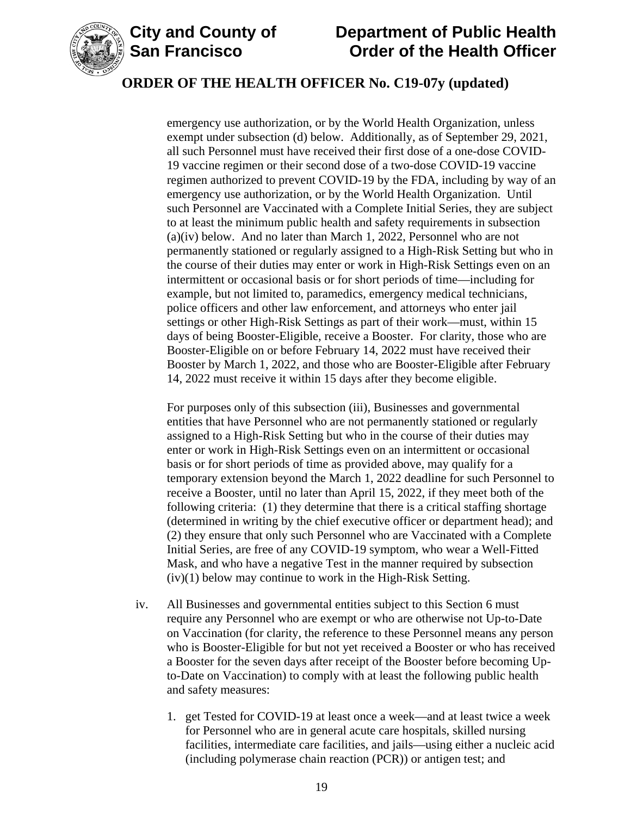

### **ORDER OF THE HEALTH OFFICER No. C19-07y (updated)**

emergency use authorization, or by the World Health Organization, unless exempt under subsection (d) below. Additionally, as of September 29, 2021, all such Personnel must have received their first dose of a one-dose COVID-19 vaccine regimen or their second dose of a two-dose COVID-19 vaccine regimen authorized to prevent COVID-19 by the FDA, including by way of an emergency use authorization, or by the World Health Organization. Until such Personnel are Vaccinated with a Complete Initial Series, they are subject to at least the minimum public health and safety requirements in subsection (a)(iv) below. And no later than March 1, 2022, Personnel who are not permanently stationed or regularly assigned to a High-Risk Setting but who in the course of their duties may enter or work in High-Risk Settings even on an intermittent or occasional basis or for short periods of time—including for example, but not limited to, paramedics, emergency medical technicians, police officers and other law enforcement, and attorneys who enter jail settings or other High-Risk Settings as part of their work—must, within 15 days of being Booster-Eligible, receive a Booster. For clarity, those who are Booster-Eligible on or before February 14, 2022 must have received their Booster by March 1, 2022, and those who are Booster-Eligible after February 14, 2022 must receive it within 15 days after they become eligible.

For purposes only of this subsection (iii), Businesses and governmental entities that have Personnel who are not permanently stationed or regularly assigned to a High-Risk Setting but who in the course of their duties may enter or work in High-Risk Settings even on an intermittent or occasional basis or for short periods of time as provided above, may qualify for a temporary extension beyond the March 1, 2022 deadline for such Personnel to receive a Booster, until no later than April 15, 2022, if they meet both of the following criteria: (1) they determine that there is a critical staffing shortage (determined in writing by the chief executive officer or department head); and (2) they ensure that only such Personnel who are Vaccinated with a Complete Initial Series, are free of any COVID-19 symptom, who wear a Well-Fitted Mask, and who have a negative Test in the manner required by subsection (iv)(1) below may continue to work in the High-Risk Setting.

- iv. All Businesses and governmental entities subject to this Section 6 must require any Personnel who are exempt or who are otherwise not Up-to-Date on Vaccination (for clarity, the reference to these Personnel means any person who is Booster-Eligible for but not yet received a Booster or who has received a Booster for the seven days after receipt of the Booster before becoming Upto-Date on Vaccination) to comply with at least the following public health and safety measures:
	- 1. get Tested for COVID-19 at least once a week—and at least twice a week for Personnel who are in general acute care hospitals, skilled nursing facilities, intermediate care facilities, and jails—using either a nucleic acid (including polymerase chain reaction (PCR)) or antigen test; and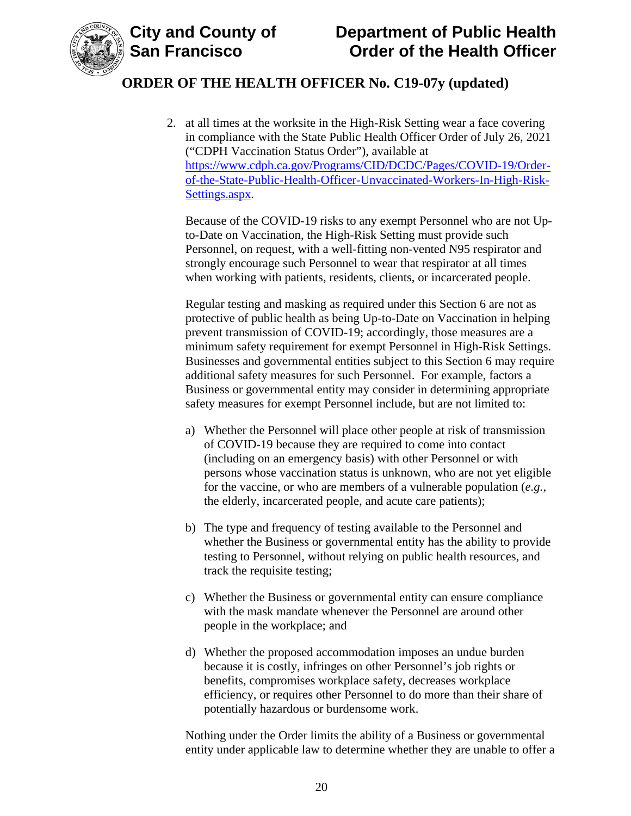

2. at all times at the worksite in the High-Risk Setting wear a face covering in compliance with the State Public Health Officer Order of July 26, 2021 ("CDPH Vaccination Status Order"), available at [https://www.cdph.ca.gov/Programs/CID/DCDC/Pages/COVID-19/Order](https://www.cdph.ca.gov/Programs/CID/DCDC/Pages/COVID-19/Order-of-the-State-Public-Health-Officer-Unvaccinated-Workers-In-High-Risk-Settings.aspx)[of-the-State-Public-Health-Officer-Unvaccinated-Workers-In-High-Risk-](https://www.cdph.ca.gov/Programs/CID/DCDC/Pages/COVID-19/Order-of-the-State-Public-Health-Officer-Unvaccinated-Workers-In-High-Risk-Settings.aspx)[Settings.aspx.](https://www.cdph.ca.gov/Programs/CID/DCDC/Pages/COVID-19/Order-of-the-State-Public-Health-Officer-Unvaccinated-Workers-In-High-Risk-Settings.aspx)

Because of the COVID-19 risks to any exempt Personnel who are not Upto-Date on Vaccination, the High-Risk Setting must provide such Personnel, on request, with a well-fitting non-vented N95 respirator and strongly encourage such Personnel to wear that respirator at all times when working with patients, residents, clients, or incarcerated people.

Regular testing and masking as required under this Section 6 are not as protective of public health as being Up-to-Date on Vaccination in helping prevent transmission of COVID-19; accordingly, those measures are a minimum safety requirement for exempt Personnel in High-Risk Settings. Businesses and governmental entities subject to this Section 6 may require additional safety measures for such Personnel. For example, factors a Business or governmental entity may consider in determining appropriate safety measures for exempt Personnel include, but are not limited to:

- a) Whether the Personnel will place other people at risk of transmission of COVID-19 because they are required to come into contact (including on an emergency basis) with other Personnel or with persons whose vaccination status is unknown, who are not yet eligible for the vaccine, or who are members of a vulnerable population (*e.g.*, the elderly, incarcerated people, and acute care patients);
- b) The type and frequency of testing available to the Personnel and whether the Business or governmental entity has the ability to provide testing to Personnel, without relying on public health resources, and track the requisite testing;
- c) Whether the Business or governmental entity can ensure compliance with the mask mandate whenever the Personnel are around other people in the workplace; and
- d) Whether the proposed accommodation imposes an undue burden because it is costly, infringes on other Personnel's job rights or benefits, compromises workplace safety, decreases workplace efficiency, or requires other Personnel to do more than their share of potentially hazardous or burdensome work.

Nothing under the Order limits the ability of a Business or governmental entity under applicable law to determine whether they are unable to offer a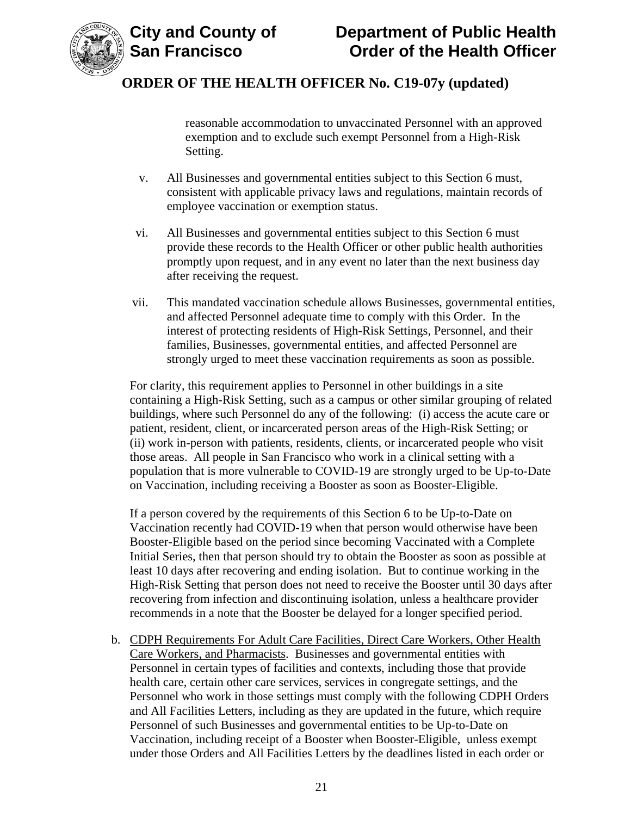

reasonable accommodation to unvaccinated Personnel with an approved exemption and to exclude such exempt Personnel from a High-Risk Setting.

- v. All Businesses and governmental entities subject to this Section 6 must, consistent with applicable privacy laws and regulations, maintain records of employee vaccination or exemption status.
- vi. All Businesses and governmental entities subject to this Section 6 must provide these records to the Health Officer or other public health authorities promptly upon request, and in any event no later than the next business day after receiving the request.
- vii. This mandated vaccination schedule allows Businesses, governmental entities, and affected Personnel adequate time to comply with this Order. In the interest of protecting residents of High-Risk Settings, Personnel, and their families, Businesses, governmental entities, and affected Personnel are strongly urged to meet these vaccination requirements as soon as possible.

For clarity, this requirement applies to Personnel in other buildings in a site containing a High-Risk Setting, such as a campus or other similar grouping of related buildings, where such Personnel do any of the following: (i) access the acute care or patient, resident, client, or incarcerated person areas of the High-Risk Setting; or (ii) work in-person with patients, residents, clients, or incarcerated people who visit those areas. All people in San Francisco who work in a clinical setting with a population that is more vulnerable to COVID-19 are strongly urged to be Up-to-Date on Vaccination, including receiving a Booster as soon as Booster-Eligible.

If a person covered by the requirements of this Section 6 to be Up-to-Date on Vaccination recently had COVID-19 when that person would otherwise have been Booster-Eligible based on the period since becoming Vaccinated with a Complete Initial Series, then that person should try to obtain the Booster as soon as possible at least 10 days after recovering and ending isolation. But to continue working in the High-Risk Setting that person does not need to receive the Booster until 30 days after recovering from infection and discontinuing isolation, unless a healthcare provider recommends in a note that the Booster be delayed for a longer specified period.

b. CDPH Requirements For Adult Care Facilities, Direct Care Workers, Other Health Care Workers, and Pharmacists. Businesses and governmental entities with Personnel in certain types of facilities and contexts, including those that provide health care, certain other care services, services in congregate settings, and the Personnel who work in those settings must comply with the following CDPH Orders and All Facilities Letters, including as they are updated in the future, which require Personnel of such Businesses and governmental entities to be Up-to-Date on Vaccination, including receipt of a Booster when Booster-Eligible, unless exempt under those Orders and All Facilities Letters by the deadlines listed in each order or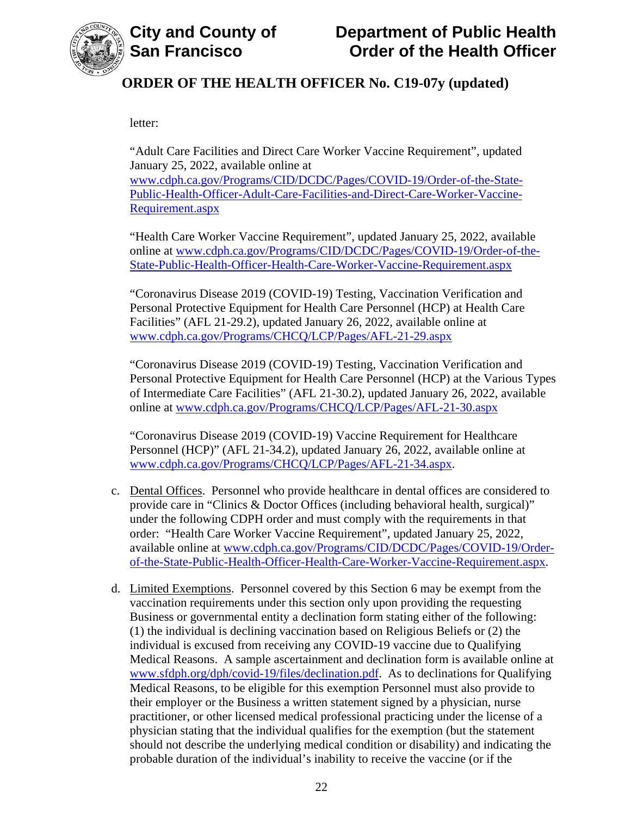

letter:

"Adult Care Facilities and Direct Care Worker Vaccine Requirement", updated January 25, 2022, available online at [www.cdph.ca.gov/Programs/CID/DCDC/Pages/COVID-19/Order-of-the-State-](https://www.cdph.ca.gov/Programs/CID/DCDC/Pages/COVID-19/Order-of-the-State-Public-Health-Officer-Adult-Care-Facilities-and-Direct-Care-Worker-Vaccine-Requirement.aspx)[Public-Health-Officer-Adult-Care-Facilities-and-Direct-Care-Worker-Vaccine-](https://www.cdph.ca.gov/Programs/CID/DCDC/Pages/COVID-19/Order-of-the-State-Public-Health-Officer-Adult-Care-Facilities-and-Direct-Care-Worker-Vaccine-Requirement.aspx)

[Requirement.aspx](https://www.cdph.ca.gov/Programs/CID/DCDC/Pages/COVID-19/Order-of-the-State-Public-Health-Officer-Adult-Care-Facilities-and-Direct-Care-Worker-Vaccine-Requirement.aspx)

"Health Care Worker Vaccine Requirement", updated January 25, 2022, available online at [www.cdph.ca.gov/Programs/CID/DCDC/Pages/COVID-19/Order-of-the-](https://www.cdph.ca.gov/Programs/CID/DCDC/Pages/COVID-19/Order-of-the-State-Public-Health-Officer-Health-Care-Worker-Vaccine-Requirement.aspx)[State-Public-Health-Officer-Health-Care-Worker-Vaccine-Requirement.aspx](https://www.cdph.ca.gov/Programs/CID/DCDC/Pages/COVID-19/Order-of-the-State-Public-Health-Officer-Health-Care-Worker-Vaccine-Requirement.aspx)

"Coronavirus Disease 2019 (COVID-19) Testing, Vaccination Verification and Personal Protective Equipment for Health Care Personnel (HCP) at Health Care Facilities" (AFL 21-29.2), updated January 26, 2022, available online at [www.cdph.ca.gov/Programs/CHCQ/LCP/Pages/AFL-21-29.aspx](https://www.cdph.ca.gov/Programs/CHCQ/LCP/Pages/AFL-21-29.aspx)

"Coronavirus Disease 2019 (COVID-19) Testing, Vaccination Verification and Personal Protective Equipment for Health Care Personnel (HCP) at the Various Types of Intermediate Care Facilities" (AFL 21-30.2), updated January 26, 2022, available online at [www.cdph.ca.gov/Programs/CHCQ/LCP/Pages/AFL-21-30.aspx](https://www.cdph.ca.gov/Programs/CHCQ/LCP/Pages/AFL-21-30.aspx)

"Coronavirus Disease 2019 (COVID-19) Vaccine Requirement for Healthcare Personnel (HCP)" (AFL 21-34.2), updated January 26, 2022, available online at [www.cdph.ca.gov/Programs/CHCQ/LCP/Pages/AFL-21-34.aspx.](https://www.cdph.ca.gov/Programs/CHCQ/LCP/Pages/AFL-21-34.aspx)

- c. Dental Offices. Personnel who provide healthcare in dental offices are considered to provide care in "Clinics & Doctor Offices (including behavioral health, surgical)" under the following CDPH order and must comply with the requirements in that order: "Health Care Worker Vaccine Requirement", updated January 25, 2022, available online at [www.cdph.ca.gov/Programs/CID/DCDC/Pages/COVID-19/Order](https://www.cdph.ca.gov/Programs/CID/DCDC/Pages/COVID-19/Order-of-the-State-Public-Health-Officer-Health-Care-Worker-Vaccine-Requirement.aspx)[of-the-State-Public-Health-Officer-Health-Care-Worker-Vaccine-Requirement.aspx.](https://www.cdph.ca.gov/Programs/CID/DCDC/Pages/COVID-19/Order-of-the-State-Public-Health-Officer-Health-Care-Worker-Vaccine-Requirement.aspx)
- d. Limited Exemptions. Personnel covered by this Section 6 may be exempt from the vaccination requirements under this section only upon providing the requesting Business or governmental entity a declination form stating either of the following: (1) the individual is declining vaccination based on Religious Beliefs or (2) the individual is excused from receiving any COVID-19 vaccine due to Qualifying Medical Reasons. A sample ascertainment and declination form is available online at [www.sfdph.org/dph/covid-19/files/declination.pdf.](https://www.sfdph.org/dph/covid-19/files/declination.pdf) As to declinations for Qualifying Medical Reasons, to be eligible for this exemption Personnel must also provide to their employer or the Business a written statement signed by a physician, nurse practitioner, or other licensed medical professional practicing under the license of a physician stating that the individual qualifies for the exemption (but the statement should not describe the underlying medical condition or disability) and indicating the probable duration of the individual's inability to receive the vaccine (or if the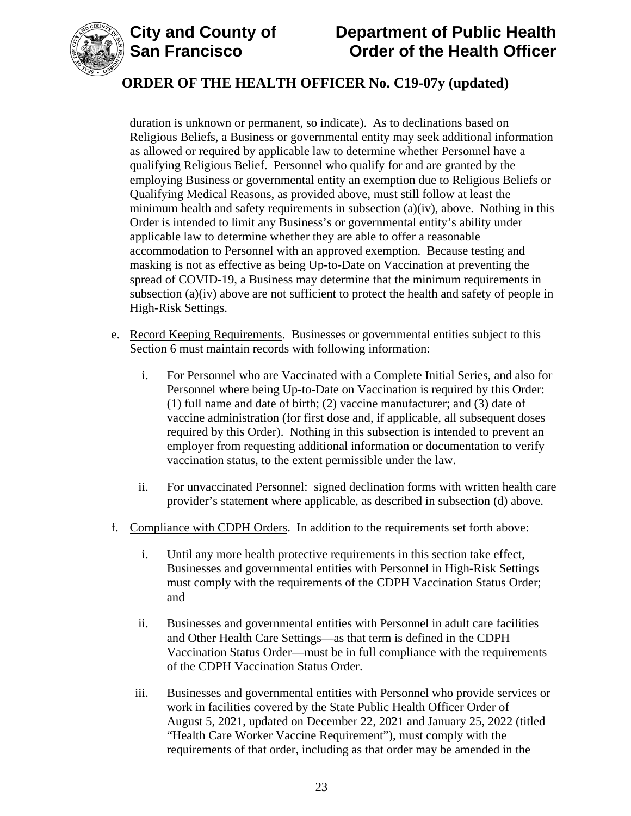



# **ORDER OF THE HEALTH OFFICER No. C19-07y (updated)**

duration is unknown or permanent, so indicate). As to declinations based on Religious Beliefs, a Business or governmental entity may seek additional information as allowed or required by applicable law to determine whether Personnel have a qualifying Religious Belief. Personnel who qualify for and are granted by the employing Business or governmental entity an exemption due to Religious Beliefs or Qualifying Medical Reasons, as provided above, must still follow at least the minimum health and safety requirements in subsection  $(a)(iv)$ , above. Nothing in this Order is intended to limit any Business's or governmental entity's ability under applicable law to determine whether they are able to offer a reasonable accommodation to Personnel with an approved exemption. Because testing and masking is not as effective as being Up-to-Date on Vaccination at preventing the spread of COVID-19, a Business may determine that the minimum requirements in subsection (a)(iv) above are not sufficient to protect the health and safety of people in High-Risk Settings.

- e. Record Keeping Requirements. Businesses or governmental entities subject to this Section 6 must maintain records with following information:
	- i. For Personnel who are Vaccinated with a Complete Initial Series, and also for Personnel where being Up-to-Date on Vaccination is required by this Order: (1) full name and date of birth; (2) vaccine manufacturer; and (3) date of vaccine administration (for first dose and, if applicable, all subsequent doses required by this Order). Nothing in this subsection is intended to prevent an employer from requesting additional information or documentation to verify vaccination status, to the extent permissible under the law.
	- ii. For unvaccinated Personnel: signed declination forms with written health care provider's statement where applicable, as described in subsection (d) above.
- f. Compliance with CDPH Orders. In addition to the requirements set forth above:
	- i. Until any more health protective requirements in this section take effect, Businesses and governmental entities with Personnel in High-Risk Settings must comply with the requirements of the CDPH Vaccination Status Order; and
	- ii. Businesses and governmental entities with Personnel in adult care facilities and Other Health Care Settings—as that term is defined in the CDPH Vaccination Status Order—must be in full compliance with the requirements of the CDPH Vaccination Status Order.
	- iii. Businesses and governmental entities with Personnel who provide services or work in facilities covered by the State Public Health Officer Order of August 5, 2021, updated on December 22, 2021 and January 25, 2022 (titled "Health Care Worker Vaccine Requirement"), must comply with the requirements of that order, including as that order may be amended in the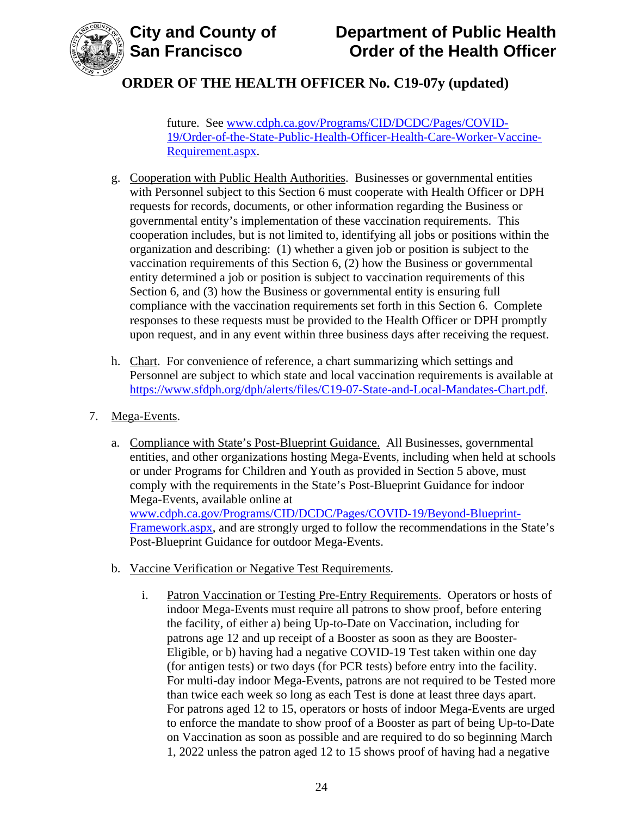

future. See [www.cdph.ca.gov/Programs/CID/DCDC/Pages/COVID-](https://www.cdph.ca.gov/Programs/CID/DCDC/Pages/COVID-19/Order-of-the-State-Public-Health-Officer-Health-Care-Worker-Vaccine-Requirement.aspx)[19/Order-of-the-State-Public-Health-Officer-Health-Care-Worker-Vaccine-](https://www.cdph.ca.gov/Programs/CID/DCDC/Pages/COVID-19/Order-of-the-State-Public-Health-Officer-Health-Care-Worker-Vaccine-Requirement.aspx)[Requirement.aspx.](https://www.cdph.ca.gov/Programs/CID/DCDC/Pages/COVID-19/Order-of-the-State-Public-Health-Officer-Health-Care-Worker-Vaccine-Requirement.aspx)

- g. Cooperation with Public Health Authorities. Businesses or governmental entities with Personnel subject to this Section 6 must cooperate with Health Officer or DPH requests for records, documents, or other information regarding the Business or governmental entity's implementation of these vaccination requirements. This cooperation includes, but is not limited to, identifying all jobs or positions within the organization and describing: (1) whether a given job or position is subject to the vaccination requirements of this Section 6, (2) how the Business or governmental entity determined a job or position is subject to vaccination requirements of this Section 6, and (3) how the Business or governmental entity is ensuring full compliance with the vaccination requirements set forth in this Section 6. Complete responses to these requests must be provided to the Health Officer or DPH promptly upon request, and in any event within three business days after receiving the request.
- h. Chart. For convenience of reference, a chart summarizing which settings and Personnel are subject to which state and local vaccination requirements is available at [https://www.sfdph.org/dph/alerts/files/C19-07-State-and-Local-Mandates-Chart.pdf.](https://www.sfdph.org/dph/alerts/files/C19-07-State-and-Local-Mandates-Chart.pdf)
- 7. Mega-Events.
	- a. Compliance with State's Post-Blueprint Guidance. All Businesses, governmental entities, and other organizations hosting Mega-Events, including when held at schools or under Programs for Children and Youth as provided in Section 5 above, must comply with the requirements in the State's Post-Blueprint Guidance for indoor Mega-Events, available online at [www.cdph.ca.gov/Programs/CID/DCDC/Pages/COVID-19/Beyond-Blueprint-](https://www.cdph.ca.gov/Programs/CID/DCDC/Pages/COVID-19/Beyond-Blueprint-Framework.aspx)[Framework.aspx,](https://www.cdph.ca.gov/Programs/CID/DCDC/Pages/COVID-19/Beyond-Blueprint-Framework.aspx) and are strongly urged to follow the recommendations in the State's Post-Blueprint Guidance for outdoor Mega-Events.
	- b. Vaccine Verification or Negative Test Requirements.
		- i. Patron Vaccination or Testing Pre-Entry Requirements. Operators or hosts of indoor Mega-Events must require all patrons to show proof, before entering the facility, of either a) being Up-to-Date on Vaccination, including for patrons age 12 and up receipt of a Booster as soon as they are Booster-Eligible, or b) having had a negative COVID-19 Test taken within one day (for antigen tests) or two days (for PCR tests) before entry into the facility. For multi-day indoor Mega-Events, patrons are not required to be Tested more than twice each week so long as each Test is done at least three days apart. For patrons aged 12 to 15, operators or hosts of indoor Mega-Events are urged to enforce the mandate to show proof of a Booster as part of being Up-to-Date on Vaccination as soon as possible and are required to do so beginning March 1, 2022 unless the patron aged 12 to 15 shows proof of having had a negative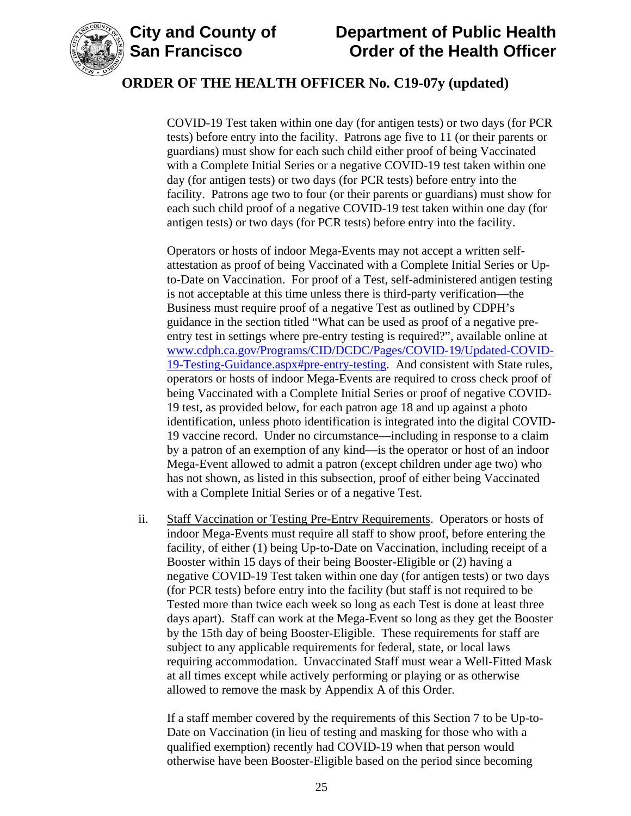

### **ORDER OF THE HEALTH OFFICER No. C19-07y (updated)**

COVID-19 Test taken within one day (for antigen tests) or two days (for PCR tests) before entry into the facility. Patrons age five to 11 (or their parents or guardians) must show for each such child either proof of being Vaccinated with a Complete Initial Series or a negative COVID-19 test taken within one day (for antigen tests) or two days (for PCR tests) before entry into the facility. Patrons age two to four (or their parents or guardians) must show for each such child proof of a negative COVID-19 test taken within one day (for antigen tests) or two days (for PCR tests) before entry into the facility.

Operators or hosts of indoor Mega-Events may not accept a written selfattestation as proof of being Vaccinated with a Complete Initial Series or Upto-Date on Vaccination. For proof of a Test, self-administered antigen testing is not acceptable at this time unless there is third-party verification—the Business must require proof of a negative Test as outlined by CDPH's guidance in the section titled "What can be used as proof of a negative preentry test in settings where pre-entry testing is required?", available online at [www.cdph.ca.gov/Programs/CID/DCDC/Pages/COVID-19/Updated-COVID-](https://www.cdph.ca.gov/Programs/CID/DCDC/Pages/COVID-19/Updated-COVID-19-Testing-Guidance.aspx#pre-entry-testing)[19-Testing-Guidance.aspx#pre-entry-testing.](https://www.cdph.ca.gov/Programs/CID/DCDC/Pages/COVID-19/Updated-COVID-19-Testing-Guidance.aspx#pre-entry-testing) And consistent with State rules, operators or hosts of indoor Mega-Events are required to cross check proof of being Vaccinated with a Complete Initial Series or proof of negative COVID-19 test, as provided below, for each patron age 18 and up against a photo identification, unless photo identification is integrated into the digital COVID-19 vaccine record. Under no circumstance—including in response to a claim by a patron of an exemption of any kind—is the operator or host of an indoor Mega-Event allowed to admit a patron (except children under age two) who has not shown, as listed in this subsection, proof of either being Vaccinated with a Complete Initial Series or of a negative Test.

ii. Staff Vaccination or Testing Pre-Entry Requirements. Operators or hosts of indoor Mega-Events must require all staff to show proof, before entering the facility, of either (1) being Up-to-Date on Vaccination, including receipt of a Booster within 15 days of their being Booster-Eligible or (2) having a negative COVID-19 Test taken within one day (for antigen tests) or two days (for PCR tests) before entry into the facility (but staff is not required to be Tested more than twice each week so long as each Test is done at least three days apart). Staff can work at the Mega-Event so long as they get the Booster by the 15th day of being Booster-Eligible. These requirements for staff are subject to any applicable requirements for federal, state, or local laws requiring accommodation. Unvaccinated Staff must wear a Well-Fitted Mask at all times except while actively performing or playing or as otherwise allowed to remove the mask by Appendix A of this Order.

If a staff member covered by the requirements of this Section 7 to be Up-to-Date on Vaccination (in lieu of testing and masking for those who with a qualified exemption) recently had COVID-19 when that person would otherwise have been Booster-Eligible based on the period since becoming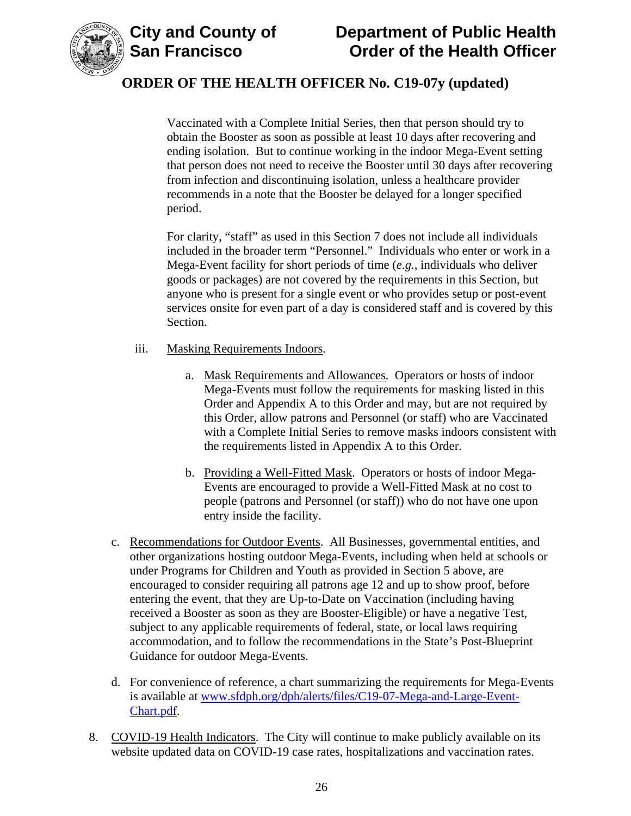



Vaccinated with a Complete Initial Series, then that person should try to obtain the Booster as soon as possible at least 10 days after recovering and ending isolation. But to continue working in the indoor Mega-Event setting that person does not need to receive the Booster until 30 days after recovering from infection and discontinuing isolation, unless a healthcare provider recommends in a note that the Booster be delayed for a longer specified period.

For clarity, "staff" as used in this Section 7 does not include all individuals included in the broader term "Personnel." Individuals who enter or work in a Mega-Event facility for short periods of time (*e.g.*, individuals who deliver goods or packages) are not covered by the requirements in this Section, but anyone who is present for a single event or who provides setup or post-event services onsite for even part of a day is considered staff and is covered by this Section.

- iii. Masking Requirements Indoors.
	- a. Mask Requirements and Allowances. Operators or hosts of indoor Mega-Events must follow the requirements for masking listed in this Order and Appendix A to this Order and may, but are not required by this Order, allow patrons and Personnel (or staff) who are Vaccinated with a Complete Initial Series to remove masks indoors consistent with the requirements listed in Appendix A to this Order.
	- b. Providing a Well-Fitted Mask. Operators or hosts of indoor Mega-Events are encouraged to provide a Well-Fitted Mask at no cost to people (patrons and Personnel (or staff)) who do not have one upon entry inside the facility.
- c. Recommendations for Outdoor Events. All Businesses, governmental entities, and other organizations hosting outdoor Mega-Events, including when held at schools or under Programs for Children and Youth as provided in Section 5 above, are encouraged to consider requiring all patrons age 12 and up to show proof, before entering the event, that they are Up-to-Date on Vaccination (including having received a Booster as soon as they are Booster-Eligible) or have a negative Test, subject to any applicable requirements of federal, state, or local laws requiring accommodation, and to follow the recommendations in the State's Post-Blueprint Guidance for outdoor Mega-Events.
- d. For convenience of reference, a chart summarizing the requirements for Mega-Events is available at [www.sfdph.org/dph/alerts/files/C19-07-Mega-and-Large-Event-](https://www.sfdph.org/dph/alerts/files/C19-07-Mega-and-Large-Event-Chart.pdf)[Chart.pdf.](https://www.sfdph.org/dph/alerts/files/C19-07-Mega-and-Large-Event-Chart.pdf)
- 8. COVID-19 Health Indicators. The City will continue to make publicly available on its website updated data on COVID-19 case rates, hospitalizations and vaccination rates.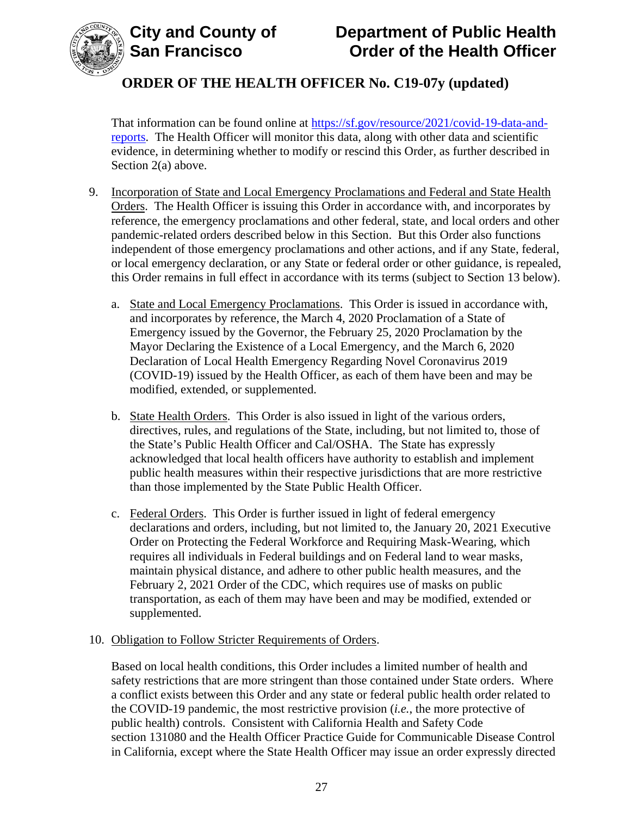

That information can be found online at [https://sf.gov/resource/2021/covid-19-data-and](https://sf.gov/resource/2021/covid-19-data-and-reports)[reports.](https://sf.gov/resource/2021/covid-19-data-and-reports) The Health Officer will monitor this data, along with other data and scientific evidence, in determining whether to modify or rescind this Order, as further described in Section 2(a) above.

- 9. Incorporation of State and Local Emergency Proclamations and Federal and State Health Orders. The Health Officer is issuing this Order in accordance with, and incorporates by reference, the emergency proclamations and other federal, state, and local orders and other pandemic-related orders described below in this Section. But this Order also functions independent of those emergency proclamations and other actions, and if any State, federal, or local emergency declaration, or any State or federal order or other guidance, is repealed, this Order remains in full effect in accordance with its terms (subject to Section 13 below).
	- a. State and Local Emergency Proclamations. This Order is issued in accordance with, and incorporates by reference, the March 4, 2020 Proclamation of a State of Emergency issued by the Governor, the February 25, 2020 Proclamation by the Mayor Declaring the Existence of a Local Emergency, and the March 6, 2020 Declaration of Local Health Emergency Regarding Novel Coronavirus 2019 (COVID-19) issued by the Health Officer, as each of them have been and may be modified, extended, or supplemented.
	- b. State Health Orders. This Order is also issued in light of the various orders, directives, rules, and regulations of the State, including, but not limited to, those of the State's Public Health Officer and Cal/OSHA. The State has expressly acknowledged that local health officers have authority to establish and implement public health measures within their respective jurisdictions that are more restrictive than those implemented by the State Public Health Officer.
	- c. Federal Orders. This Order is further issued in light of federal emergency declarations and orders, including, but not limited to, the January 20, 2021 Executive Order on Protecting the Federal Workforce and Requiring Mask-Wearing, which requires all individuals in Federal buildings and on Federal land to wear masks, maintain physical distance, and adhere to other public health measures, and the February 2, 2021 Order of the CDC, which requires use of masks on public transportation, as each of them may have been and may be modified, extended or supplemented.

### 10. Obligation to Follow Stricter Requirements of Orders.

Based on local health conditions, this Order includes a limited number of health and safety restrictions that are more stringent than those contained under State orders. Where a conflict exists between this Order and any state or federal public health order related to the COVID-19 pandemic, the most restrictive provision (*i.e.*, the more protective of public health) controls. Consistent with California Health and Safety Code section 131080 and the Health Officer Practice Guide for Communicable Disease Control in California, except where the State Health Officer may issue an order expressly directed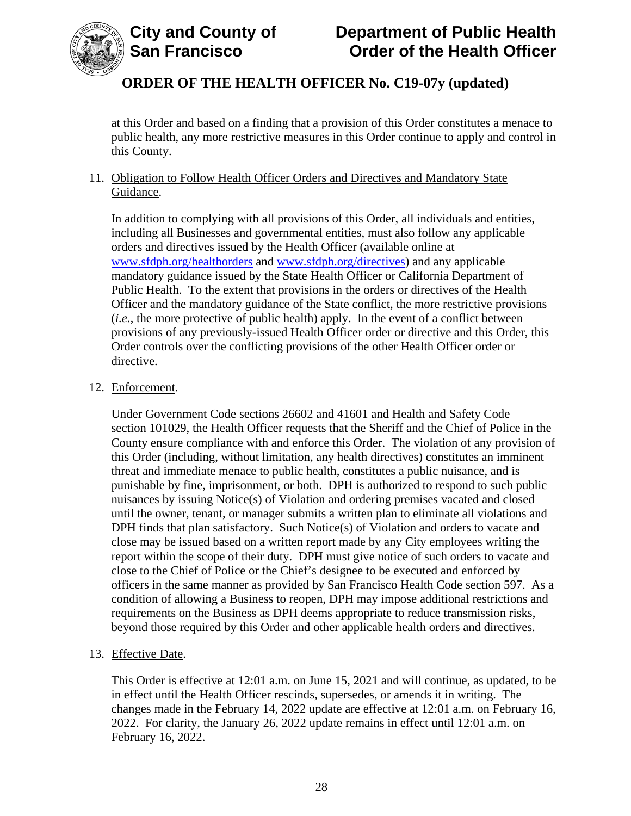

at this Order and based on a finding that a provision of this Order constitutes a menace to public health, any more restrictive measures in this Order continue to apply and control in this County.

### 11. Obligation to Follow Health Officer Orders and Directives and Mandatory State Guidance.

In addition to complying with all provisions of this Order, all individuals and entities, including all Businesses and governmental entities, must also follow any applicable orders and directives issued by the Health Officer (available online at [www.sfdph.org/healthorders](http://www.sfdph.org/healthorders) and [www.sfdph.org/directives\)](https://www.sfdph.org/directives) and any applicable mandatory guidance issued by the State Health Officer or California Department of Public Health. To the extent that provisions in the orders or directives of the Health Officer and the mandatory guidance of the State conflict, the more restrictive provisions (*i.e.*, the more protective of public health) apply. In the event of a conflict between provisions of any previously-issued Health Officer order or directive and this Order, this Order controls over the conflicting provisions of the other Health Officer order or directive.

### 12. Enforcement.

Under Government Code sections 26602 and 41601 and Health and Safety Code section 101029, the Health Officer requests that the Sheriff and the Chief of Police in the County ensure compliance with and enforce this Order. The violation of any provision of this Order (including, without limitation, any health directives) constitutes an imminent threat and immediate menace to public health, constitutes a public nuisance, and is punishable by fine, imprisonment, or both. DPH is authorized to respond to such public nuisances by issuing Notice(s) of Violation and ordering premises vacated and closed until the owner, tenant, or manager submits a written plan to eliminate all violations and DPH finds that plan satisfactory. Such Notice(s) of Violation and orders to vacate and close may be issued based on a written report made by any City employees writing the report within the scope of their duty. DPH must give notice of such orders to vacate and close to the Chief of Police or the Chief's designee to be executed and enforced by officers in the same manner as provided by San Francisco Health Code section 597. As a condition of allowing a Business to reopen, DPH may impose additional restrictions and requirements on the Business as DPH deems appropriate to reduce transmission risks, beyond those required by this Order and other applicable health orders and directives.

### 13. Effective Date.

This Order is effective at 12:01 a.m. on June 15, 2021 and will continue, as updated, to be in effect until the Health Officer rescinds, supersedes, or amends it in writing. The changes made in the February 14, 2022 update are effective at 12:01 a.m. on February 16, 2022. For clarity, the January 26, 2022 update remains in effect until 12:01 a.m. on February 16, 2022.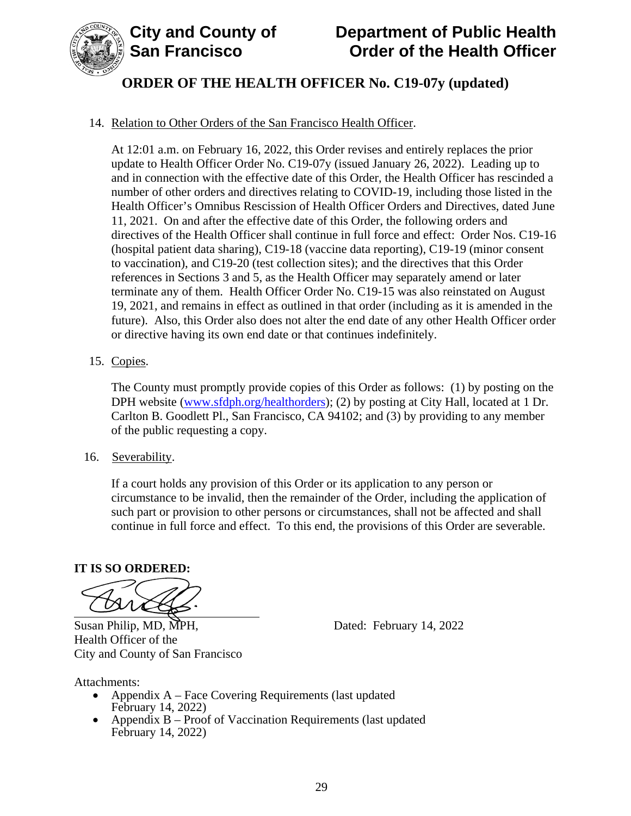

# **ORDER OF THE HEALTH OFFICER No. C19-07y (updated)**

### 14. Relation to Other Orders of the San Francisco Health Officer.

At 12:01 a.m. on February 16, 2022, this Order revises and entirely replaces the prior update to Health Officer Order No. C19-07y (issued January 26, 2022). Leading up to and in connection with the effective date of this Order, the Health Officer has rescinded a number of other orders and directives relating to COVID-19, including those listed in the Health Officer's Omnibus Rescission of Health Officer Orders and Directives, dated June 11, 2021. On and after the effective date of this Order, the following orders and directives of the Health Officer shall continue in full force and effect: Order Nos. C19-16 (hospital patient data sharing), C19-18 (vaccine data reporting), C19-19 (minor consent to vaccination), and C19-20 (test collection sites); and the directives that this Order references in Sections 3 and 5, as the Health Officer may separately amend or later terminate any of them. Health Officer Order No. C19-15 was also reinstated on August 19, 2021, and remains in effect as outlined in that order (including as it is amended in the future). Also, this Order also does not alter the end date of any other Health Officer order or directive having its own end date or that continues indefinitely.

### 15. Copies.

The County must promptly provide copies of this Order as follows: (1) by posting on the DPH website (www.sfdph.org/healthorders); (2) by posting at City Hall, located at 1 Dr. Carlton B. Goodlett Pl., San Francisco, CA 94102; and (3) by providing to any member of the public requesting a copy.

16. Severability.

If a court holds any provision of this Order or its application to any person or circumstance to be invalid, then the remainder of the Order, including the application of such part or provision to other persons or circumstances, shall not be affected and shall continue in full force and effect. To this end, the provisions of this Order are severable.

#### **IT IS SO ORDERED:**

Susan Philip, MD, MPH, Dated: February 14, 2022 Health Officer of the City and County of San Francisco

Attachments:

- Appendix A Face Covering Requirements (last updated February 14, 2022)
- Appendix B Proof of Vaccination Requirements (last updated February 14, 2022)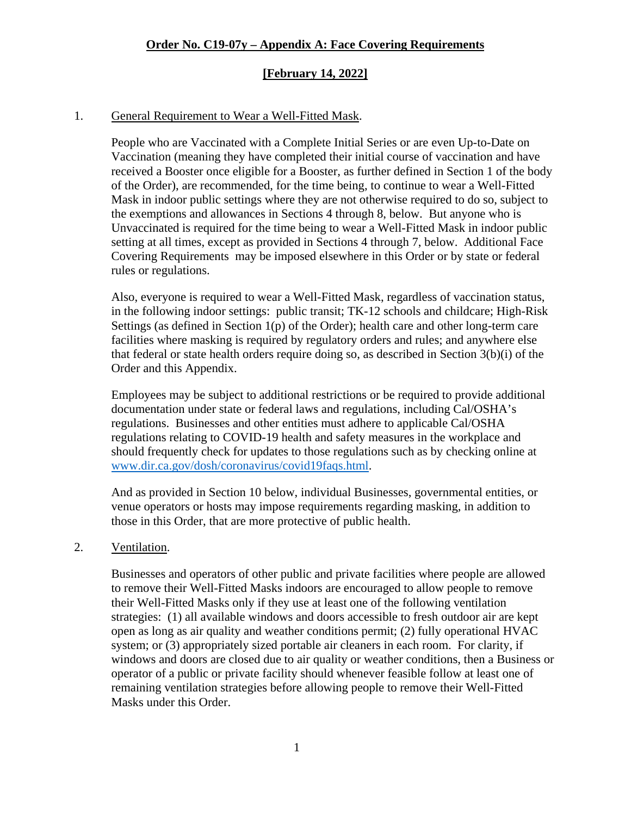### **[February 14, 2022]**

#### 1. General Requirement to Wear a Well-Fitted Mask.

People who are Vaccinated with a Complete Initial Series or are even Up-to-Date on Vaccination (meaning they have completed their initial course of vaccination and have received a Booster once eligible for a Booster, as further defined in Section 1 of the body of the Order), are recommended, for the time being, to continue to wear a Well-Fitted Mask in indoor public settings where they are not otherwise required to do so, subject to the exemptions and allowances in Sections 4 through 8, below. But anyone who is Unvaccinated is required for the time being to wear a Well-Fitted Mask in indoor public setting at all times, except as provided in Sections 4 through 7, below. Additional Face Covering Requirements may be imposed elsewhere in this Order or by state or federal rules or regulations.

Also, everyone is required to wear a Well-Fitted Mask, regardless of vaccination status, in the following indoor settings: public transit; TK-12 schools and childcare; High-Risk Settings (as defined in Section  $1(p)$  of the Order); health care and other long-term care facilities where masking is required by regulatory orders and rules; and anywhere else that federal or state health orders require doing so, as described in Section 3(b)(i) of the Order and this Appendix.

Employees may be subject to additional restrictions or be required to provide additional documentation under state or federal laws and regulations, including Cal/OSHA's regulations. Businesses and other entities must adhere to applicable Cal/OSHA regulations relating to COVID-19 health and safety measures in the workplace and should frequently check for updates to those regulations such as by checking online at [www.dir.ca.gov/dosh/coronavirus/covid19faqs.html.](https://www.dir.ca.gov/dosh/coronavirus/covid19faqs.html)

And as provided in Section 10 below, individual Businesses, governmental entities, or venue operators or hosts may impose requirements regarding masking, in addition to those in this Order, that are more protective of public health.

#### 2. Ventilation.

Businesses and operators of other public and private facilities where people are allowed to remove their Well-Fitted Masks indoors are encouraged to allow people to remove their Well-Fitted Masks only if they use at least one of the following ventilation strategies: (1) all available windows and doors accessible to fresh outdoor air are kept open as long as air quality and weather conditions permit; (2) fully operational HVAC system; or (3) appropriately sized portable air cleaners in each room. For clarity, if windows and doors are closed due to air quality or weather conditions, then a Business or operator of a public or private facility should whenever feasible follow at least one of remaining ventilation strategies before allowing people to remove their Well-Fitted Masks under this Order.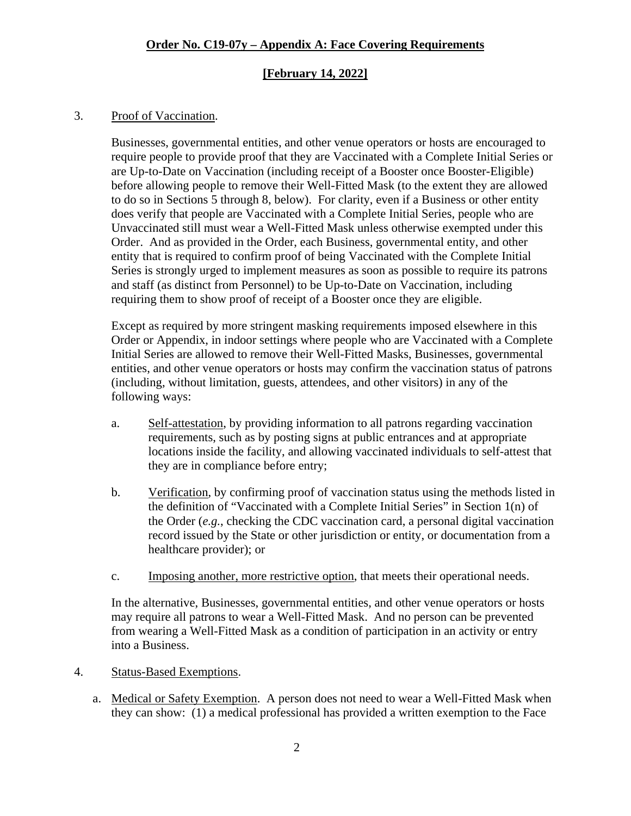#### **[February 14, 2022]**

#### 3. Proof of Vaccination.

Businesses, governmental entities, and other venue operators or hosts are encouraged to require people to provide proof that they are Vaccinated with a Complete Initial Series or are Up-to-Date on Vaccination (including receipt of a Booster once Booster-Eligible) before allowing people to remove their Well-Fitted Mask (to the extent they are allowed to do so in Sections 5 through 8, below). For clarity, even if a Business or other entity does verify that people are Vaccinated with a Complete Initial Series, people who are Unvaccinated still must wear a Well-Fitted Mask unless otherwise exempted under this Order. And as provided in the Order, each Business, governmental entity, and other entity that is required to confirm proof of being Vaccinated with the Complete Initial Series is strongly urged to implement measures as soon as possible to require its patrons and staff (as distinct from Personnel) to be Up-to-Date on Vaccination, including requiring them to show proof of receipt of a Booster once they are eligible.

Except as required by more stringent masking requirements imposed elsewhere in this Order or Appendix, in indoor settings where people who are Vaccinated with a Complete Initial Series are allowed to remove their Well-Fitted Masks, Businesses, governmental entities, and other venue operators or hosts may confirm the vaccination status of patrons (including, without limitation, guests, attendees, and other visitors) in any of the following ways:

- a. Self-attestation, by providing information to all patrons regarding vaccination requirements, such as by posting signs at public entrances and at appropriate locations inside the facility, and allowing vaccinated individuals to self-attest that they are in compliance before entry;
- b. Verification, by confirming proof of vaccination status using the methods listed in the definition of "Vaccinated with a Complete Initial Series" in Section 1(n) of the Order (*e.g.*, checking the CDC vaccination card, a personal digital vaccination record issued by the State or other jurisdiction or entity, or documentation from a healthcare provider); or
- c. Imposing another, more restrictive option, that meets their operational needs.

In the alternative, Businesses, governmental entities, and other venue operators or hosts may require all patrons to wear a Well-Fitted Mask. And no person can be prevented from wearing a Well-Fitted Mask as a condition of participation in an activity or entry into a Business.

#### 4. Status-Based Exemptions.

a. Medical or Safety Exemption. A person does not need to wear a Well-Fitted Mask when they can show: (1) a medical professional has provided a written exemption to the Face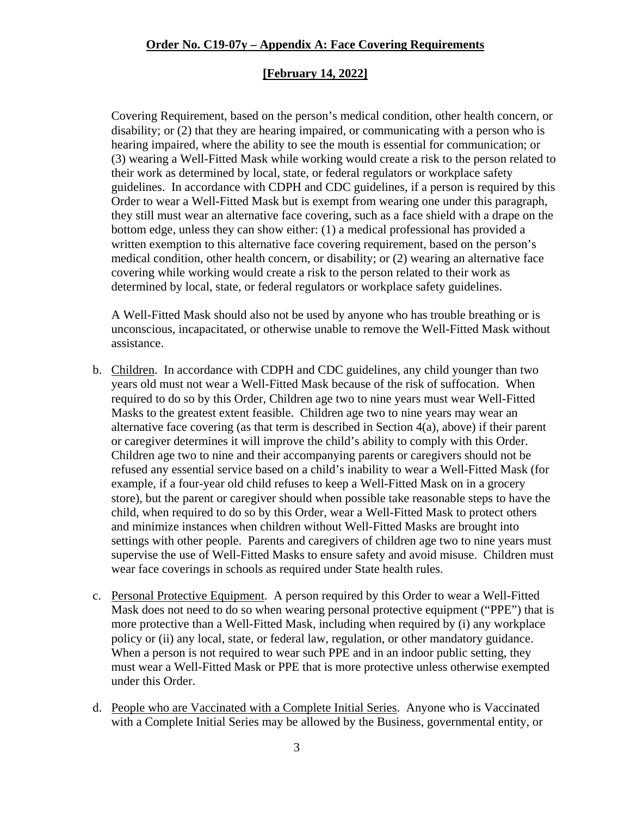#### **[February 14, 2022]**

Covering Requirement, based on the person's medical condition, other health concern, or disability; or (2) that they are hearing impaired, or communicating with a person who is hearing impaired, where the ability to see the mouth is essential for communication; or (3) wearing a Well-Fitted Mask while working would create a risk to the person related to their work as determined by local, state, or federal regulators or workplace safety guidelines. In accordance with CDPH and CDC guidelines, if a person is required by this Order to wear a Well-Fitted Mask but is exempt from wearing one under this paragraph, they still must wear an alternative face covering, such as a face shield with a drape on the bottom edge, unless they can show either: (1) a medical professional has provided a written exemption to this alternative face covering requirement, based on the person's medical condition, other health concern, or disability; or (2) wearing an alternative face covering while working would create a risk to the person related to their work as determined by local, state, or federal regulators or workplace safety guidelines.

A Well-Fitted Mask should also not be used by anyone who has trouble breathing or is unconscious, incapacitated, or otherwise unable to remove the Well-Fitted Mask without assistance.

- b. Children. In accordance with CDPH and CDC guidelines, any child younger than two years old must not wear a Well-Fitted Mask because of the risk of suffocation. When required to do so by this Order, Children age two to nine years must wear Well-Fitted Masks to the greatest extent feasible. Children age two to nine years may wear an alternative face covering (as that term is described in Section 4(a), above) if their parent or caregiver determines it will improve the child's ability to comply with this Order. Children age two to nine and their accompanying parents or caregivers should not be refused any essential service based on a child's inability to wear a Well-Fitted Mask (for example, if a four-year old child refuses to keep a Well-Fitted Mask on in a grocery store), but the parent or caregiver should when possible take reasonable steps to have the child, when required to do so by this Order, wear a Well-Fitted Mask to protect others and minimize instances when children without Well-Fitted Masks are brought into settings with other people. Parents and caregivers of children age two to nine years must supervise the use of Well-Fitted Masks to ensure safety and avoid misuse. Children must wear face coverings in schools as required under State health rules.
- c. Personal Protective Equipment. A person required by this Order to wear a Well-Fitted Mask does not need to do so when wearing personal protective equipment ("PPE") that is more protective than a Well-Fitted Mask, including when required by (i) any workplace policy or (ii) any local, state, or federal law, regulation, or other mandatory guidance. When a person is not required to wear such PPE and in an indoor public setting, they must wear a Well-Fitted Mask or PPE that is more protective unless otherwise exempted under this Order.
- d. People who are Vaccinated with a Complete Initial Series. Anyone who is Vaccinated with a Complete Initial Series may be allowed by the Business, governmental entity, or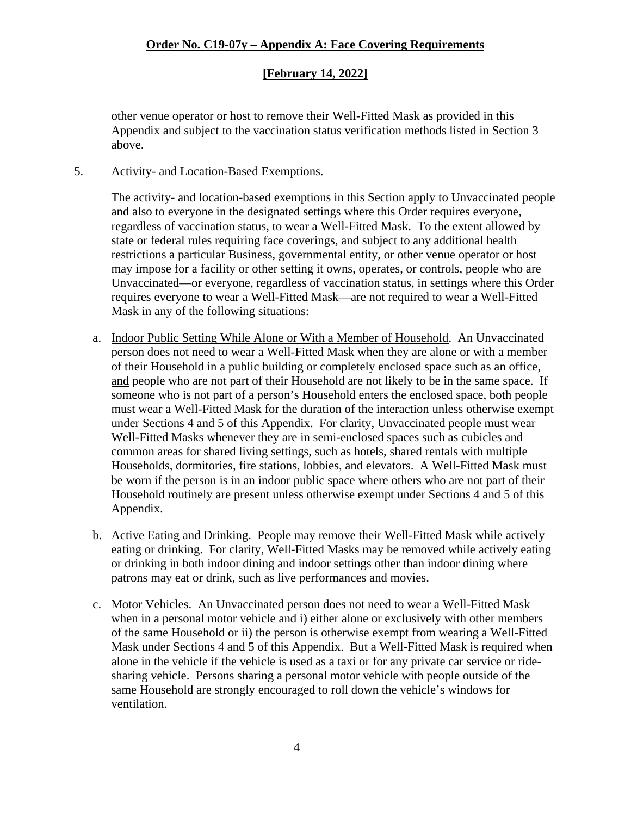### **[February 14, 2022]**

other venue operator or host to remove their Well-Fitted Mask as provided in this Appendix and subject to the vaccination status verification methods listed in Section 3 above.

#### 5. Activity- and Location-Based Exemptions.

The activity- and location-based exemptions in this Section apply to Unvaccinated people and also to everyone in the designated settings where this Order requires everyone, regardless of vaccination status, to wear a Well-Fitted Mask. To the extent allowed by state or federal rules requiring face coverings, and subject to any additional health restrictions a particular Business, governmental entity, or other venue operator or host may impose for a facility or other setting it owns, operates, or controls, people who are Unvaccinated—or everyone, regardless of vaccination status, in settings where this Order requires everyone to wear a Well-Fitted Mask—are not required to wear a Well-Fitted Mask in any of the following situations:

- a. Indoor Public Setting While Alone or With a Member of Household. An Unvaccinated person does not need to wear a Well-Fitted Mask when they are alone or with a member of their Household in a public building or completely enclosed space such as an office, and people who are not part of their Household are not likely to be in the same space. If someone who is not part of a person's Household enters the enclosed space, both people must wear a Well-Fitted Mask for the duration of the interaction unless otherwise exempt under Sections 4 and 5 of this Appendix. For clarity, Unvaccinated people must wear Well-Fitted Masks whenever they are in semi-enclosed spaces such as cubicles and common areas for shared living settings, such as hotels, shared rentals with multiple Households, dormitories, fire stations, lobbies, and elevators. A Well-Fitted Mask must be worn if the person is in an indoor public space where others who are not part of their Household routinely are present unless otherwise exempt under Sections 4 and 5 of this Appendix.
- b. Active Eating and Drinking. People may remove their Well-Fitted Mask while actively eating or drinking. For clarity, Well-Fitted Masks may be removed while actively eating or drinking in both indoor dining and indoor settings other than indoor dining where patrons may eat or drink, such as live performances and movies.
- c. Motor Vehicles. An Unvaccinated person does not need to wear a Well-Fitted Mask when in a personal motor vehicle and i) either alone or exclusively with other members of the same Household or ii) the person is otherwise exempt from wearing a Well-Fitted Mask under Sections 4 and 5 of this Appendix. But a Well-Fitted Mask is required when alone in the vehicle if the vehicle is used as a taxi or for any private car service or ridesharing vehicle. Persons sharing a personal motor vehicle with people outside of the same Household are strongly encouraged to roll down the vehicle's windows for ventilation.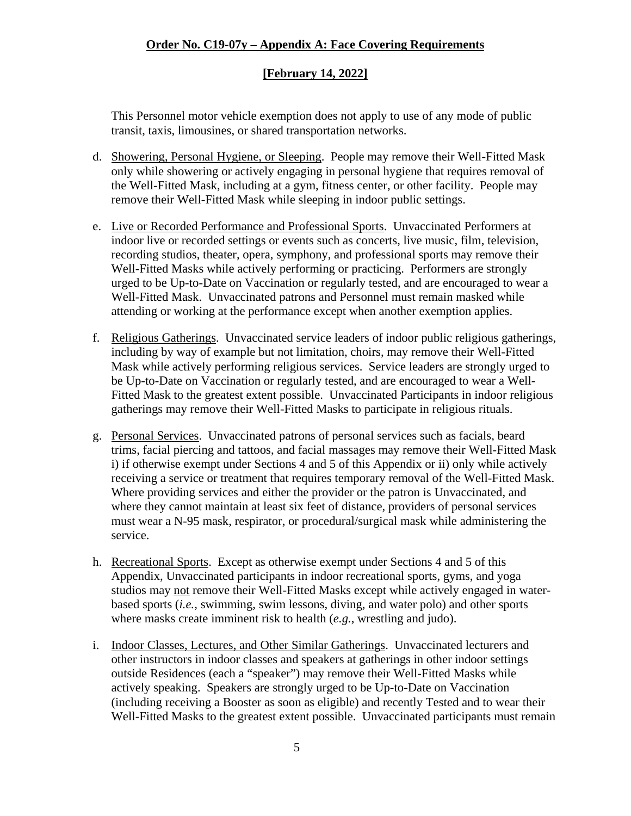### **[February 14, 2022]**

This Personnel motor vehicle exemption does not apply to use of any mode of public transit, taxis, limousines, or shared transportation networks.

- d. Showering, Personal Hygiene, or Sleeping. People may remove their Well-Fitted Mask only while showering or actively engaging in personal hygiene that requires removal of the Well-Fitted Mask, including at a gym, fitness center, or other facility. People may remove their Well-Fitted Mask while sleeping in indoor public settings.
- e. Live or Recorded Performance and Professional Sports. Unvaccinated Performers at indoor live or recorded settings or events such as concerts, live music, film, television, recording studios, theater, opera, symphony, and professional sports may remove their Well-Fitted Masks while actively performing or practicing. Performers are strongly urged to be Up-to-Date on Vaccination or regularly tested, and are encouraged to wear a Well-Fitted Mask. Unvaccinated patrons and Personnel must remain masked while attending or working at the performance except when another exemption applies.
- f. Religious Gatherings. Unvaccinated service leaders of indoor public religious gatherings, including by way of example but not limitation, choirs, may remove their Well-Fitted Mask while actively performing religious services. Service leaders are strongly urged to be Up-to-Date on Vaccination or regularly tested, and are encouraged to wear a Well-Fitted Mask to the greatest extent possible. Unvaccinated Participants in indoor religious gatherings may remove their Well-Fitted Masks to participate in religious rituals.
- g. Personal Services. Unvaccinated patrons of personal services such as facials, beard trims, facial piercing and tattoos, and facial massages may remove their Well-Fitted Mask i) if otherwise exempt under Sections 4 and 5 of this Appendix or ii) only while actively receiving a service or treatment that requires temporary removal of the Well-Fitted Mask. Where providing services and either the provider or the patron is Unvaccinated, and where they cannot maintain at least six feet of distance, providers of personal services must wear a N-95 mask, respirator, or procedural/surgical mask while administering the service.
- h. Recreational Sports. Except as otherwise exempt under Sections 4 and 5 of this Appendix, Unvaccinated participants in indoor recreational sports, gyms, and yoga studios may not remove their Well-Fitted Masks except while actively engaged in waterbased sports (*i.e.*, swimming, swim lessons, diving, and water polo) and other sports where masks create imminent risk to health (*e.g.*, wrestling and judo).
- i. Indoor Classes, Lectures, and Other Similar Gatherings. Unvaccinated lecturers and other instructors in indoor classes and speakers at gatherings in other indoor settings outside Residences (each a "speaker") may remove their Well-Fitted Masks while actively speaking. Speakers are strongly urged to be Up-to-Date on Vaccination (including receiving a Booster as soon as eligible) and recently Tested and to wear their Well-Fitted Masks to the greatest extent possible. Unvaccinated participants must remain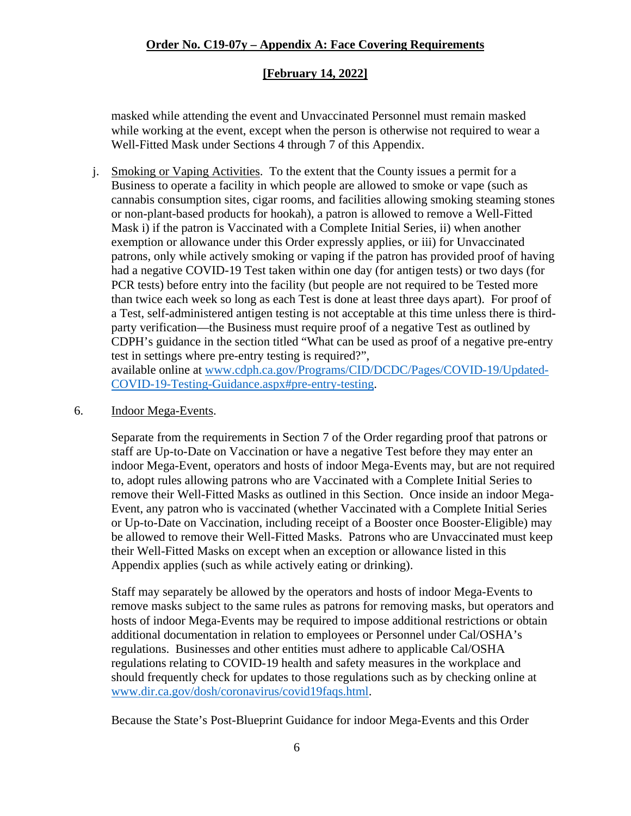### **[February 14, 2022]**

masked while attending the event and Unvaccinated Personnel must remain masked while working at the event, except when the person is otherwise not required to wear a Well-Fitted Mask under Sections 4 through 7 of this Appendix.

j. Smoking or Vaping Activities. To the extent that the County issues a permit for a Business to operate a facility in which people are allowed to smoke or vape (such as cannabis consumption sites, cigar rooms, and facilities allowing smoking steaming stones or non-plant-based products for hookah), a patron is allowed to remove a Well-Fitted Mask i) if the patron is Vaccinated with a Complete Initial Series, ii) when another exemption or allowance under this Order expressly applies, or iii) for Unvaccinated patrons, only while actively smoking or vaping if the patron has provided proof of having had a negative COVID-19 Test taken within one day (for antigen tests) or two days (for PCR tests) before entry into the facility (but people are not required to be Tested more than twice each week so long as each Test is done at least three days apart). For proof of a Test, self-administered antigen testing is not acceptable at this time unless there is thirdparty verification—the Business must require proof of a negative Test as outlined by CDPH's guidance in the section titled "What can be used as proof of a negative pre-entry test in settings where pre-entry testing is required?", available online at [www.cdph.ca.gov/Programs/CID/DCDC/Pages/COVID-19/Updated-](https://www.cdph.ca.gov/Programs/CID/DCDC/Pages/COVID-19/Updated-COVID-19-Testing-Guidance.aspx#pre-entry-testing)

[COVID-19-Testing-Guidance.aspx#pre-entry-testing.](https://www.cdph.ca.gov/Programs/CID/DCDC/Pages/COVID-19/Updated-COVID-19-Testing-Guidance.aspx#pre-entry-testing)

#### 6. Indoor Mega-Events.

Separate from the requirements in Section 7 of the Order regarding proof that patrons or staff are Up-to-Date on Vaccination or have a negative Test before they may enter an indoor Mega-Event, operators and hosts of indoor Mega-Events may, but are not required to, adopt rules allowing patrons who are Vaccinated with a Complete Initial Series to remove their Well-Fitted Masks as outlined in this Section. Once inside an indoor Mega-Event, any patron who is vaccinated (whether Vaccinated with a Complete Initial Series or Up-to-Date on Vaccination, including receipt of a Booster once Booster-Eligible) may be allowed to remove their Well-Fitted Masks. Patrons who are Unvaccinated must keep their Well-Fitted Masks on except when an exception or allowance listed in this Appendix applies (such as while actively eating or drinking).

Staff may separately be allowed by the operators and hosts of indoor Mega-Events to remove masks subject to the same rules as patrons for removing masks, but operators and hosts of indoor Mega-Events may be required to impose additional restrictions or obtain additional documentation in relation to employees or Personnel under Cal/OSHA's regulations. Businesses and other entities must adhere to applicable Cal/OSHA regulations relating to COVID-19 health and safety measures in the workplace and should frequently check for updates to those regulations such as by checking online at [www.dir.ca.gov/dosh/coronavirus/covid19faqs.html.](https://www.dir.ca.gov/dosh/coronavirus/covid19faqs.html)

Because the State's Post-Blueprint Guidance for indoor Mega-Events and this Order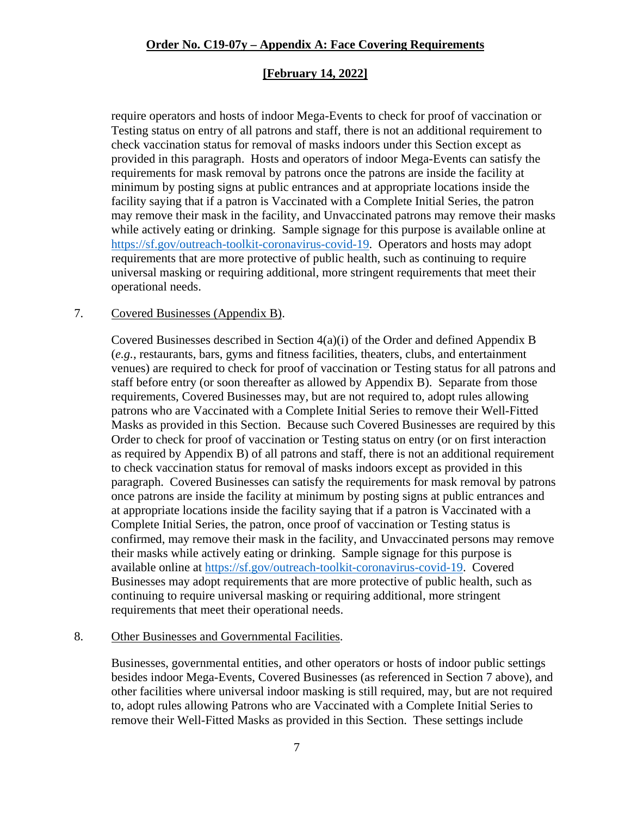### **[February 14, 2022]**

require operators and hosts of indoor Mega-Events to check for proof of vaccination or Testing status on entry of all patrons and staff, there is not an additional requirement to check vaccination status for removal of masks indoors under this Section except as provided in this paragraph. Hosts and operators of indoor Mega-Events can satisfy the requirements for mask removal by patrons once the patrons are inside the facility at minimum by posting signs at public entrances and at appropriate locations inside the facility saying that if a patron is Vaccinated with a Complete Initial Series, the patron may remove their mask in the facility, and Unvaccinated patrons may remove their masks while actively eating or drinking. Sample signage for this purpose is available online at [https://sf.gov/outreach-toolkit-coronavirus-covid-19.](https://sf.gov/outreach-toolkit-coronavirus-covid-19) Operators and hosts may adopt requirements that are more protective of public health, such as continuing to require universal masking or requiring additional, more stringent requirements that meet their operational needs.

#### 7. Covered Businesses (Appendix B).

Covered Businesses described in Section 4(a)(i) of the Order and defined Appendix B (*e.g.*, restaurants, bars, gyms and fitness facilities, theaters, clubs, and entertainment venues) are required to check for proof of vaccination or Testing status for all patrons and staff before entry (or soon thereafter as allowed by Appendix B). Separate from those requirements, Covered Businesses may, but are not required to, adopt rules allowing patrons who are Vaccinated with a Complete Initial Series to remove their Well-Fitted Masks as provided in this Section. Because such Covered Businesses are required by this Order to check for proof of vaccination or Testing status on entry (or on first interaction as required by Appendix B) of all patrons and staff, there is not an additional requirement to check vaccination status for removal of masks indoors except as provided in this paragraph. Covered Businesses can satisfy the requirements for mask removal by patrons once patrons are inside the facility at minimum by posting signs at public entrances and at appropriate locations inside the facility saying that if a patron is Vaccinated with a Complete Initial Series, the patron, once proof of vaccination or Testing status is confirmed, may remove their mask in the facility, and Unvaccinated persons may remove their masks while actively eating or drinking. Sample signage for this purpose is available online at [https://sf.gov/outreach-toolkit-coronavirus-covid-19.](https://sf.gov/outreach-toolkit-coronavirus-covid-19) Covered Businesses may adopt requirements that are more protective of public health, such as continuing to require universal masking or requiring additional, more stringent requirements that meet their operational needs.

#### 8. Other Businesses and Governmental Facilities.

Businesses, governmental entities, and other operators or hosts of indoor public settings besides indoor Mega-Events, Covered Businesses (as referenced in Section 7 above), and other facilities where universal indoor masking is still required, may, but are not required to, adopt rules allowing Patrons who are Vaccinated with a Complete Initial Series to remove their Well-Fitted Masks as provided in this Section. These settings include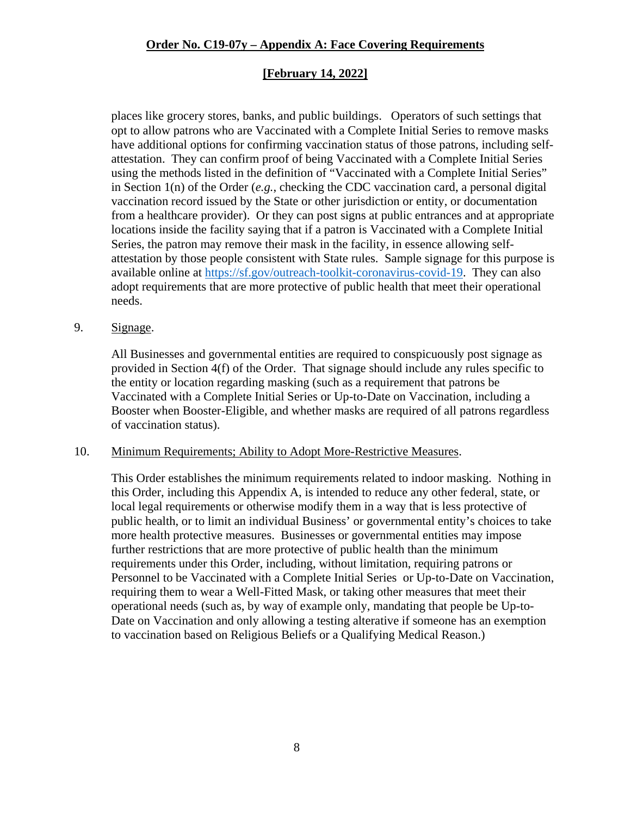### **[February 14, 2022]**

places like grocery stores, banks, and public buildings. Operators of such settings that opt to allow patrons who are Vaccinated with a Complete Initial Series to remove masks have additional options for confirming vaccination status of those patrons, including selfattestation. They can confirm proof of being Vaccinated with a Complete Initial Series using the methods listed in the definition of "Vaccinated with a Complete Initial Series" in Section 1(n) of the Order (*e.g.*, checking the CDC vaccination card, a personal digital vaccination record issued by the State or other jurisdiction or entity, or documentation from a healthcare provider). Or they can post signs at public entrances and at appropriate locations inside the facility saying that if a patron is Vaccinated with a Complete Initial Series, the patron may remove their mask in the facility, in essence allowing selfattestation by those people consistent with State rules. Sample signage for this purpose is available online at [https://sf.gov/outreach-toolkit-coronavirus-covid-19.](https://sf.gov/outreach-toolkit-coronavirus-covid-19) They can also adopt requirements that are more protective of public health that meet their operational needs.

#### 9. Signage.

All Businesses and governmental entities are required to conspicuously post signage as provided in Section 4(f) of the Order. That signage should include any rules specific to the entity or location regarding masking (such as a requirement that patrons be Vaccinated with a Complete Initial Series or Up-to-Date on Vaccination, including a Booster when Booster-Eligible, and whether masks are required of all patrons regardless of vaccination status).

#### 10. Minimum Requirements; Ability to Adopt More-Restrictive Measures.

This Order establishes the minimum requirements related to indoor masking. Nothing in this Order, including this Appendix A, is intended to reduce any other federal, state, or local legal requirements or otherwise modify them in a way that is less protective of public health, or to limit an individual Business' or governmental entity's choices to take more health protective measures. Businesses or governmental entities may impose further restrictions that are more protective of public health than the minimum requirements under this Order, including, without limitation, requiring patrons or Personnel to be Vaccinated with a Complete Initial Series or Up-to-Date on Vaccination, requiring them to wear a Well-Fitted Mask, or taking other measures that meet their operational needs (such as, by way of example only, mandating that people be Up-to-Date on Vaccination and only allowing a testing alterative if someone has an exemption to vaccination based on Religious Beliefs or a Qualifying Medical Reason.)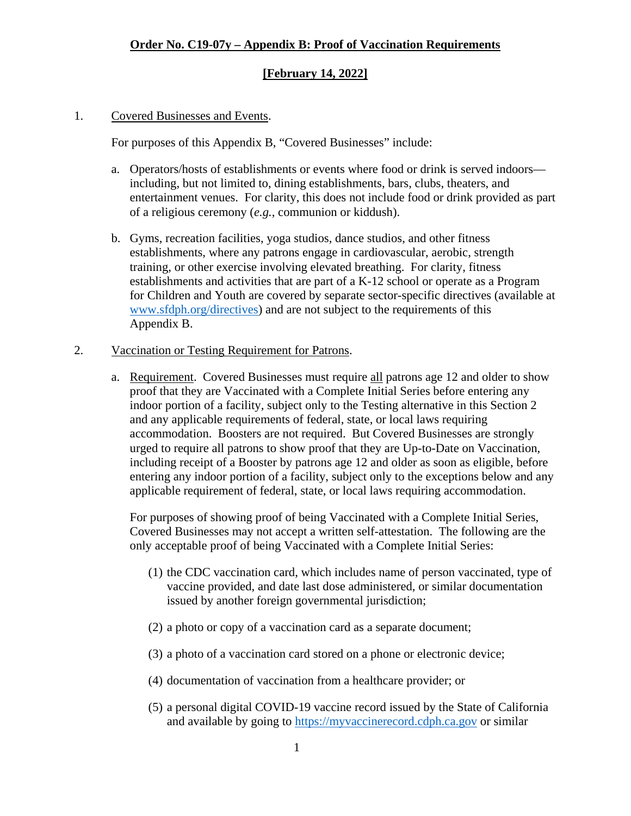### **[February 14, 2022]**

#### 1. Covered Businesses and Events.

For purposes of this Appendix B, "Covered Businesses" include:

- a. Operators/hosts of establishments or events where food or drink is served indoors including, but not limited to, dining establishments, bars, clubs, theaters, and entertainment venues. For clarity, this does not include food or drink provided as part of a religious ceremony (*e.g.*, communion or kiddush).
- b. Gyms, recreation facilities, yoga studios, dance studios, and other fitness establishments, where any patrons engage in cardiovascular, aerobic, strength training, or other exercise involving elevated breathing. For clarity, fitness establishments and activities that are part of a K-12 school or operate as a Program for Children and Youth are covered by separate sector-specific directives (available at [www.sfdph.org/directives\)](https://www.sfdph.org/directives) and are not subject to the requirements of this Appendix B.

#### 2. Vaccination or Testing Requirement for Patrons.

a. Requirement. Covered Businesses must require all patrons age 12 and older to show proof that they are Vaccinated with a Complete Initial Series before entering any indoor portion of a facility, subject only to the Testing alternative in this Section 2 and any applicable requirements of federal, state, or local laws requiring accommodation. Boosters are not required. But Covered Businesses are strongly urged to require all patrons to show proof that they are Up-to-Date on Vaccination, including receipt of a Booster by patrons age 12 and older as soon as eligible, before entering any indoor portion of a facility, subject only to the exceptions below and any applicable requirement of federal, state, or local laws requiring accommodation.

For purposes of showing proof of being Vaccinated with a Complete Initial Series, Covered Businesses may not accept a written self-attestation. The following are the only acceptable proof of being Vaccinated with a Complete Initial Series:

- (1) the CDC vaccination card, which includes name of person vaccinated, type of vaccine provided, and date last dose administered, or similar documentation issued by another foreign governmental jurisdiction;
- (2) a photo or copy of a vaccination card as a separate document;
- (3) a photo of a vaccination card stored on a phone or electronic device;
- (4) documentation of vaccination from a healthcare provider; or
- (5) a personal digital COVID-19 vaccine record issued by the State of California and available by going to [https://myvaccinerecord.cdph.ca.gov](https://myvaccinerecord.cdph.ca.gov/) or similar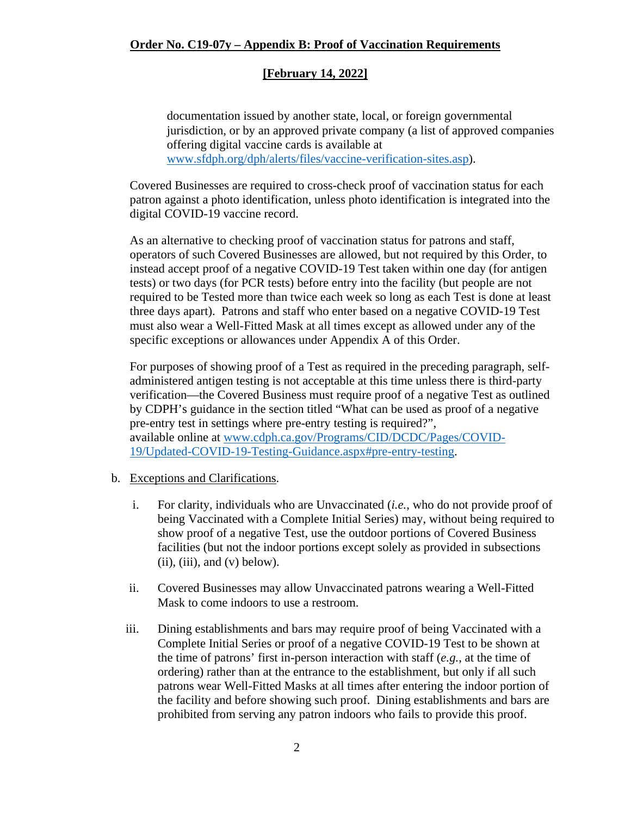### **[February 14, 2022]**

documentation issued by another state, local, or foreign governmental jurisdiction, or by an approved private company (a list of approved companies offering digital vaccine cards is available at [www.sfdph.org/dph/alerts/files/vaccine-verification-sites.asp\)](https://www.sfdph.org/dph/alerts/files/vaccine-verification-sites.asp).

Covered Businesses are required to cross-check proof of vaccination status for each patron against a photo identification, unless photo identification is integrated into the digital COVID-19 vaccine record.

As an alternative to checking proof of vaccination status for patrons and staff, operators of such Covered Businesses are allowed, but not required by this Order, to instead accept proof of a negative COVID-19 Test taken within one day (for antigen tests) or two days (for PCR tests) before entry into the facility (but people are not required to be Tested more than twice each week so long as each Test is done at least three days apart). Patrons and staff who enter based on a negative COVID-19 Test must also wear a Well-Fitted Mask at all times except as allowed under any of the specific exceptions or allowances under Appendix A of this Order.

For purposes of showing proof of a Test as required in the preceding paragraph, selfadministered antigen testing is not acceptable at this time unless there is third-party verification—the Covered Business must require proof of a negative Test as outlined by CDPH's guidance in the section titled "What can be used as proof of a negative pre-entry test in settings where pre-entry testing is required?", available online at [www.cdph.ca.gov/Programs/CID/DCDC/Pages/COVID-](https://www.cdph.ca.gov/Programs/CID/DCDC/Pages/COVID-19/Updated-COVID-19-Testing-Guidance.aspx#pre-entry-testing)[19/Updated-COVID-19-Testing-Guidance.aspx#pre-entry-testing.](https://www.cdph.ca.gov/Programs/CID/DCDC/Pages/COVID-19/Updated-COVID-19-Testing-Guidance.aspx#pre-entry-testing)

- b. Exceptions and Clarifications.
	- i. For clarity, individuals who are Unvaccinated (*i.e.*, who do not provide proof of being Vaccinated with a Complete Initial Series) may, without being required to show proof of a negative Test, use the outdoor portions of Covered Business facilities (but not the indoor portions except solely as provided in subsections  $(ii), (iii), and (v) below.$
	- ii. Covered Businesses may allow Unvaccinated patrons wearing a Well-Fitted Mask to come indoors to use a restroom.
	- iii. Dining establishments and bars may require proof of being Vaccinated with a Complete Initial Series or proof of a negative COVID-19 Test to be shown at the time of patrons' first in-person interaction with staff (*e.g.*, at the time of ordering) rather than at the entrance to the establishment, but only if all such patrons wear Well-Fitted Masks at all times after entering the indoor portion of the facility and before showing such proof. Dining establishments and bars are prohibited from serving any patron indoors who fails to provide this proof.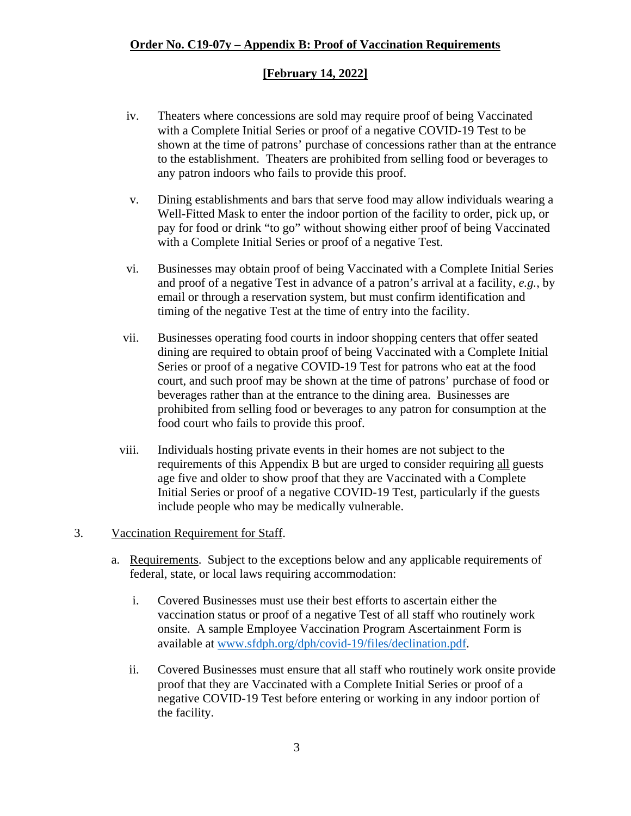### **[February 14, 2022]**

- iv. Theaters where concessions are sold may require proof of being Vaccinated with a Complete Initial Series or proof of a negative COVID-19 Test to be shown at the time of patrons' purchase of concessions rather than at the entrance to the establishment. Theaters are prohibited from selling food or beverages to any patron indoors who fails to provide this proof.
- v. Dining establishments and bars that serve food may allow individuals wearing a Well-Fitted Mask to enter the indoor portion of the facility to order, pick up, or pay for food or drink "to go" without showing either proof of being Vaccinated with a Complete Initial Series or proof of a negative Test.
- vi. Businesses may obtain proof of being Vaccinated with a Complete Initial Series and proof of a negative Test in advance of a patron's arrival at a facility, *e.g.*, by email or through a reservation system, but must confirm identification and timing of the negative Test at the time of entry into the facility.
- vii. Businesses operating food courts in indoor shopping centers that offer seated dining are required to obtain proof of being Vaccinated with a Complete Initial Series or proof of a negative COVID-19 Test for patrons who eat at the food court, and such proof may be shown at the time of patrons' purchase of food or beverages rather than at the entrance to the dining area. Businesses are prohibited from selling food or beverages to any patron for consumption at the food court who fails to provide this proof.
- viii. Individuals hosting private events in their homes are not subject to the requirements of this Appendix B but are urged to consider requiring all guests age five and older to show proof that they are Vaccinated with a Complete Initial Series or proof of a negative COVID-19 Test, particularly if the guests include people who may be medically vulnerable.

#### 3. Vaccination Requirement for Staff.

- a. Requirements. Subject to the exceptions below and any applicable requirements of federal, state, or local laws requiring accommodation:
	- i. Covered Businesses must use their best efforts to ascertain either the vaccination status or proof of a negative Test of all staff who routinely work onsite. A sample Employee Vaccination Program Ascertainment Form is available at [www.sfdph.org/dph/covid-19/files/declination.pdf.](https://www.sfdph.org/dph/covid-19/files/declination.pdf)
	- ii. Covered Businesses must ensure that all staff who routinely work onsite provide proof that they are Vaccinated with a Complete Initial Series or proof of a negative COVID-19 Test before entering or working in any indoor portion of the facility.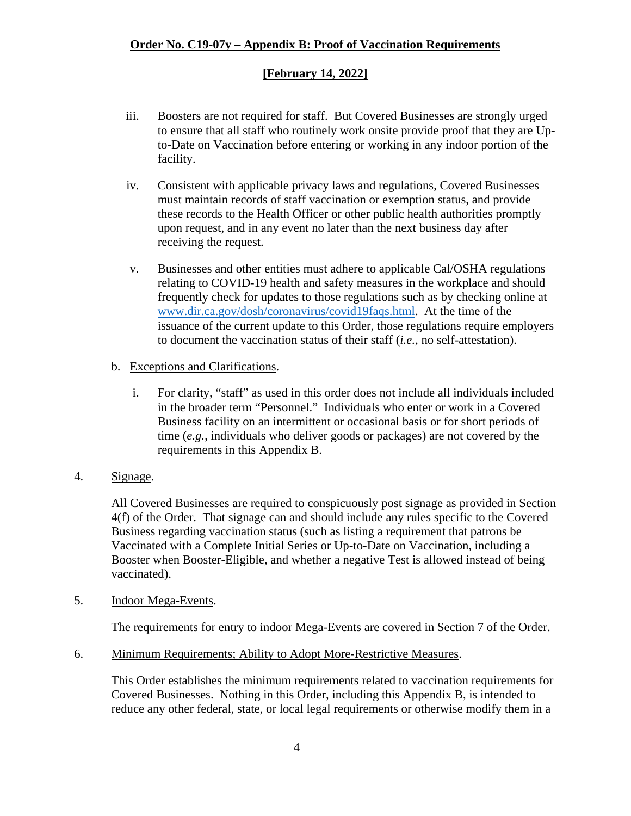### **[February 14, 2022]**

- iii. Boosters are not required for staff. But Covered Businesses are strongly urged to ensure that all staff who routinely work onsite provide proof that they are Upto-Date on Vaccination before entering or working in any indoor portion of the facility.
- iv. Consistent with applicable privacy laws and regulations, Covered Businesses must maintain records of staff vaccination or exemption status, and provide these records to the Health Officer or other public health authorities promptly upon request, and in any event no later than the next business day after receiving the request.
- v. Businesses and other entities must adhere to applicable Cal/OSHA regulations relating to COVID-19 health and safety measures in the workplace and should frequently check for updates to those regulations such as by checking online at [www.dir.ca.gov/dosh/coronavirus/covid19faqs.html.](https://www.dir.ca.gov/dosh/coronavirus/covid19faqs.html) At the time of the issuance of the current update to this Order, those regulations require employers to document the vaccination status of their staff (*i.e.*, no self-attestation).
- b. Exceptions and Clarifications.
	- i. For clarity, "staff" as used in this order does not include all individuals included in the broader term "Personnel." Individuals who enter or work in a Covered Business facility on an intermittent or occasional basis or for short periods of time (*e.g.*, individuals who deliver goods or packages) are not covered by the requirements in this Appendix B.
- 4. Signage.

All Covered Businesses are required to conspicuously post signage as provided in Section 4(f) of the Order. That signage can and should include any rules specific to the Covered Business regarding vaccination status (such as listing a requirement that patrons be Vaccinated with a Complete Initial Series or Up-to-Date on Vaccination, including a Booster when Booster-Eligible, and whether a negative Test is allowed instead of being vaccinated).

5. Indoor Mega-Events.

The requirements for entry to indoor Mega-Events are covered in Section 7 of the Order.

6. Minimum Requirements; Ability to Adopt More-Restrictive Measures.

This Order establishes the minimum requirements related to vaccination requirements for Covered Businesses. Nothing in this Order, including this Appendix B, is intended to reduce any other federal, state, or local legal requirements or otherwise modify them in a